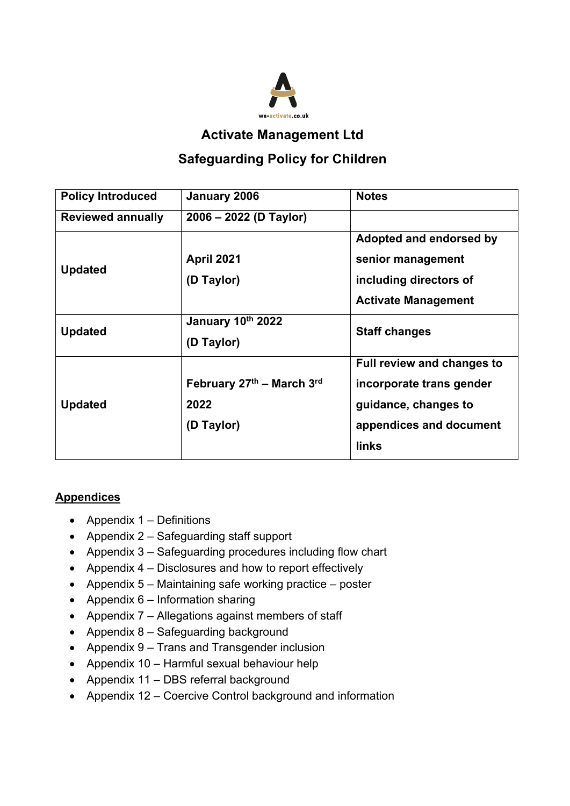

**Activate Management Ltd**

# **Safeguarding Policy for Children**

| <b>Policy Introduced</b> | January 2006                                    | <b>Notes</b>                                                                                                                     |
|--------------------------|-------------------------------------------------|----------------------------------------------------------------------------------------------------------------------------------|
| <b>Reviewed annually</b> | 2006 – 2022 (D Taylor)                          |                                                                                                                                  |
| <b>Updated</b>           | <b>April 2021</b><br>(D Taylor)                 | Adopted and endorsed by<br>senior management<br>including directors of                                                           |
|                          |                                                 | <b>Activate Management</b>                                                                                                       |
| <b>Updated</b>           | January 10th 2022<br>(D Taylor)                 | <b>Staff changes</b>                                                                                                             |
| <b>Updated</b>           | February 27th - March 3rd<br>2022<br>(D Taylor) | <b>Full review and changes to</b><br>incorporate trans gender<br>guidance, changes to<br>appendices and document<br><b>links</b> |

# **Appendices**

- Appendix 1 Definitions
- Appendix 2 Safeguarding staff support
- Appendix 3 Safeguarding procedures including flow chart
- Appendix 4 Disclosures and how to report effectively
- Appendix 5 Maintaining safe working practice poster
- Appendix  $6$  Information sharing
- Appendix 7 Allegations against members of staff
- Appendix 8 Safeguarding background
- Appendix 9 Trans and Transgender inclusion
- Appendix 10 Harmful sexual behaviour help
- Appendix 11 DBS referral background
- Appendix 12 Coercive Control background and information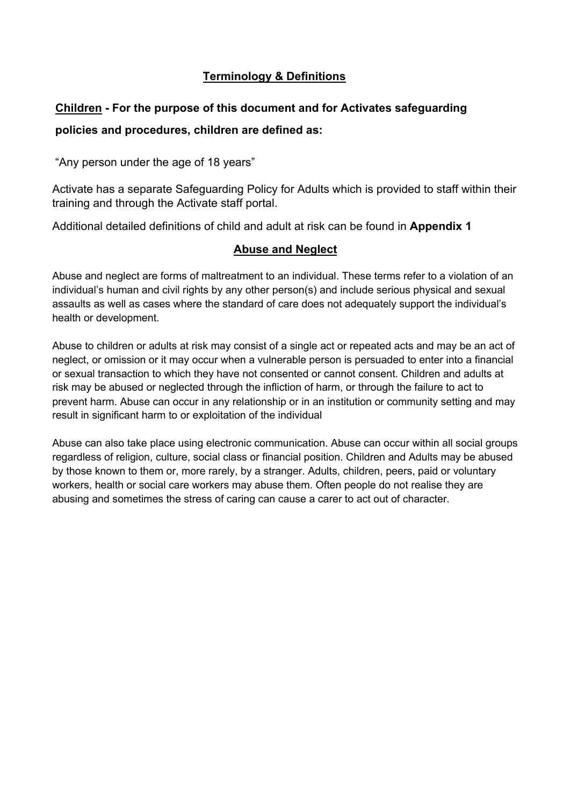# **Terminology & Definitions**

# **Children - For the purpose of this document and for Activates safeguarding policies and procedures, children are defined as:**

"Any person under the age of 18 years"

Activate has a separate Safeguarding Policy for Adults which is provided to staff within their training and through the Activate staff portal.

Additional detailed definitions of child and adult at risk can be found in **Appendix 1**

# **Abuse and Neglect**

Abuse and neglect are forms of maltreatment to an individual. These terms refer to a violation of an individual's human and civil rights by any other person(s) and include serious physical and sexual assaults as well as cases where the standard of care does not adequately support the individual's health or development.

Abuse to children or adults at risk may consist of a single act or repeated acts and may be an act of neglect, or omission or it may occur when a vulnerable person is persuaded to enter into a financial or sexual transaction to which they have not consented or cannot consent. Children and adults at risk may be abused or neglected through the infliction of harm, or through the failure to act to prevent harm. Abuse can occur in any relationship or in an institution or community setting and may result in significant harm to or exploitation of the individual

Abuse can also take place using electronic communication. Abuse can occur within all social groups regardless of religion, culture, social class or financial position. Children and Adults may be abused by those known to them or, more rarely, by a stranger. Adults, children, peers, paid or voluntary workers, health or social care workers may abuse them. Often people do not realise they are abusing and sometimes the stress of caring can cause a carer to act out of character.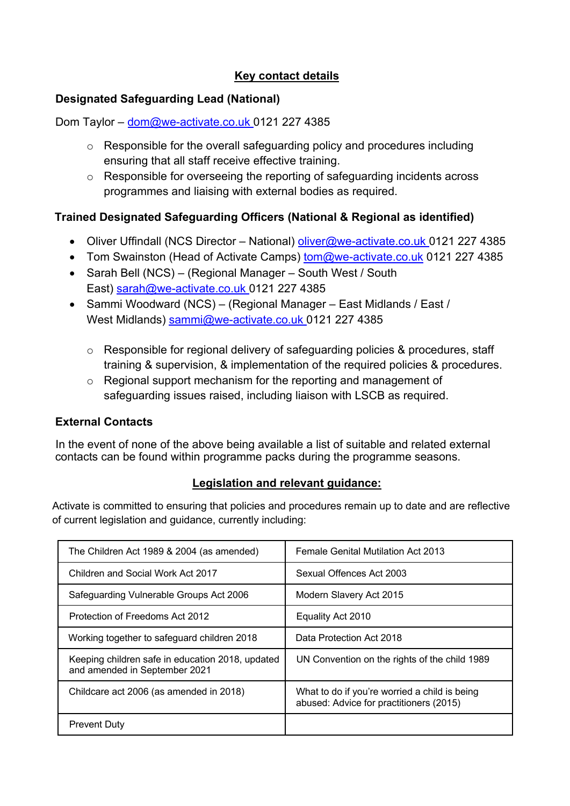# **Key contact details**

# **Designated Safeguarding Lead (National)**

Dom Taylor – dom@we-activate.co.uk 0121 227 4385

- o Responsible for the overall safeguarding policy and procedures including ensuring that all staff receive effective training.
- o Responsible for overseeing the reporting of safeguarding incidents across programmes and liaising with external bodies as required.

# **Trained Designated Safeguarding Officers (National & Regional as identified)**

- Oliver Uffindall (NCS Director National) oliver@we-activate.co.uk 0121 227 4385
- Tom Swainston (Head of Activate Camps) tom@we-activate.co.uk 0121 227 4385
- Sarah Bell (NCS) (Regional Manager South West / South East) sarah@we-activate.co.uk 0121 227 4385
- Sammi Woodward (NCS) (Regional Manager East Midlands / East / West Midlands) sammi@we-activate.co.uk 0121 227 4385
	- o Responsible for regional delivery of safeguarding policies & procedures, staff training & supervision, & implementation of the required policies & procedures.
	- o Regional support mechanism for the reporting and management of safeguarding issues raised, including liaison with LSCB as required.

# **External Contacts**

In the event of none of the above being available a list of suitable and related external contacts can be found within programme packs during the programme seasons.

# **Legislation and relevant guidance:**

Activate is committed to ensuring that policies and procedures remain up to date and are reflective of current legislation and guidance, currently including:

| The Children Act 1989 & 2004 (as amended)                                         | <b>Female Genital Mutilation Act 2013</b>                                                |  |
|-----------------------------------------------------------------------------------|------------------------------------------------------------------------------------------|--|
| Children and Social Work Act 2017                                                 | Sexual Offences Act 2003                                                                 |  |
| Safeguarding Vulnerable Groups Act 2006                                           | Modern Slavery Act 2015                                                                  |  |
| Protection of Freedoms Act 2012                                                   | Equality Act 2010                                                                        |  |
| Working together to safeguard children 2018                                       | Data Protection Act 2018                                                                 |  |
| Keeping children safe in education 2018, updated<br>and amended in September 2021 | UN Convention on the rights of the child 1989                                            |  |
| Childcare act 2006 (as amended in 2018)                                           | What to do if you're worried a child is being<br>abused: Advice for practitioners (2015) |  |
| <b>Prevent Duty</b>                                                               |                                                                                          |  |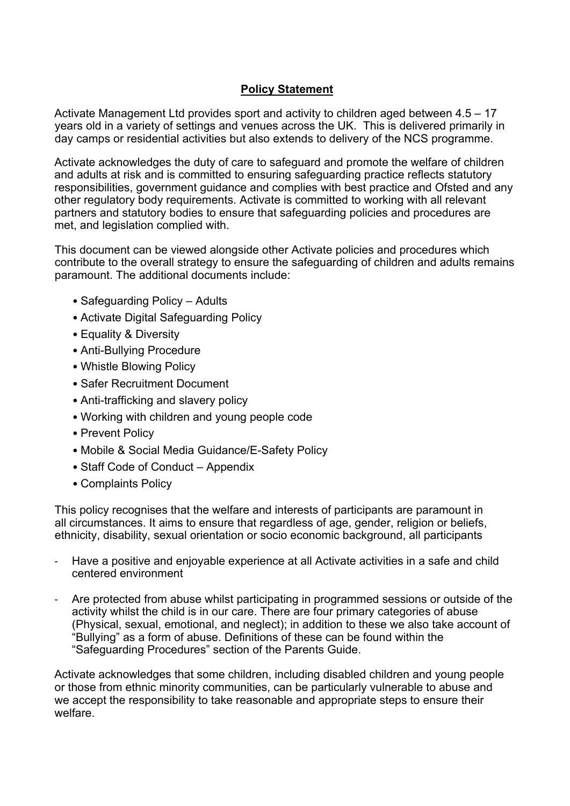# **Policy Statement**

Activate Management Ltd provides sport and activity to children aged between 4.5 – 17 years old in a variety of settings and venues across the UK. This is delivered primarily in day camps or residential activities but also extends to delivery of the NCS programme.

Activate acknowledges the duty of care to safeguard and promote the welfare of children and adults at risk and is committed to ensuring safeguarding practice reflects statutory responsibilities, government guidance and complies with best practice and Ofsted and any other regulatory body requirements. Activate is committed to working with all relevant partners and statutory bodies to ensure that safeguarding policies and procedures are met, and legislation complied with.

This document can be viewed alongside other Activate policies and procedures which contribute to the overall strategy to ensure the safeguarding of children and adults remains paramount. The additional documents include:

- Safeguarding Policy Adults
- Activate Digital Safeguarding Policy
- Equality & Diversity
- Anti-Bullying Procedure
- Whistle Blowing Policy
- Safer Recruitment Document
- Anti-trafficking and slavery policy
- Working with children and young people code
- Prevent Policy
- Mobile & Social Media Guidance/E-Safety Policy
- Staff Code of Conduct Appendix
- Complaints Policy

This policy recognises that the welfare and interests of participants are paramount in all circumstances. It aims to ensure that regardless of age, gender, religion or beliefs, ethnicity, disability, sexual orientation or socio economic background, all participants

- Have a positive and enjoyable experience at all Activate activities in a safe and child centered environment
- Are protected from abuse whilst participating in programmed sessions or outside of the activity whilst the child is in our care. There are four primary categories of abuse (Physical, sexual, emotional, and neglect); in addition to these we also take account of "Bullying" as a form of abuse. Definitions of these can be found within the "Safeguarding Procedures" section of the Parents Guide.

Activate acknowledges that some children, including disabled children and young people or those from ethnic minority communities, can be particularly vulnerable to abuse and we accept the responsibility to take reasonable and appropriate steps to ensure their welfare.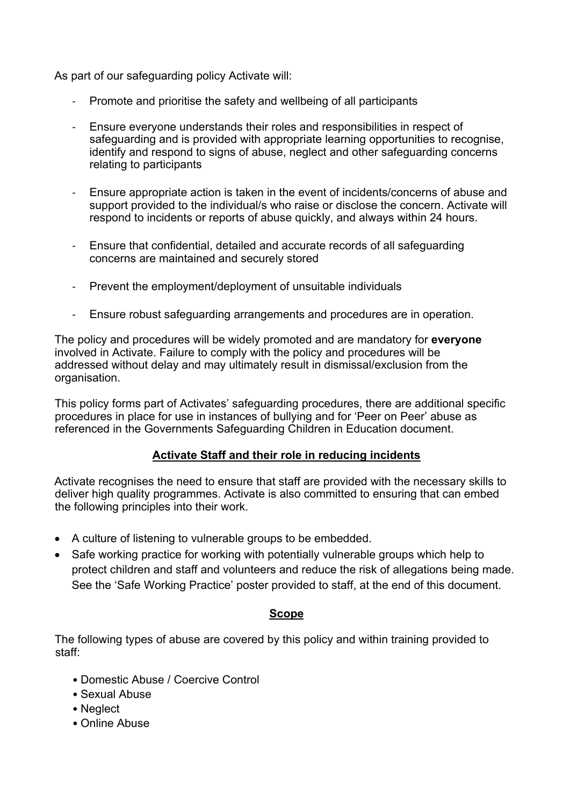As part of our safeguarding policy Activate will:

- Promote and prioritise the safety and wellbeing of all participants
- Ensure everyone understands their roles and responsibilities in respect of safeguarding and is provided with appropriate learning opportunities to recognise, identify and respond to signs of abuse, neglect and other safeguarding concerns relating to participants
- Ensure appropriate action is taken in the event of incidents/concerns of abuse and support provided to the individual/s who raise or disclose the concern. Activate will respond to incidents or reports of abuse quickly, and always within 24 hours.
- Ensure that confidential, detailed and accurate records of all safeguarding concerns are maintained and securely stored
- Prevent the employment/deployment of unsuitable individuals
- Ensure robust safeguarding arrangements and procedures are in operation.

The policy and procedures will be widely promoted and are mandatory for **everyone**  involved in Activate. Failure to comply with the policy and procedures will be addressed without delay and may ultimately result in dismissal/exclusion from the organisation.

This policy forms part of Activates' safeguarding procedures, there are additional specific procedures in place for use in instances of bullying and for 'Peer on Peer' abuse as referenced in the Governments Safeguarding Children in Education document.

### **Activate Staff and their role in reducing incidents**

Activate recognises the need to ensure that staff are provided with the necessary skills to deliver high quality programmes. Activate is also committed to ensuring that can embed the following principles into their work.

- A culture of listening to vulnerable groups to be embedded.
- Safe working practice for working with potentially vulnerable groups which help to protect children and staff and volunteers and reduce the risk of allegations being made. See the 'Safe Working Practice' poster provided to staff, at the end of this document.

### **Scope**

The following types of abuse are covered by this policy and within training provided to staff:

- Domestic Abuse / Coercive Control
- Sexual Abuse
- Neglect
- Online Abuse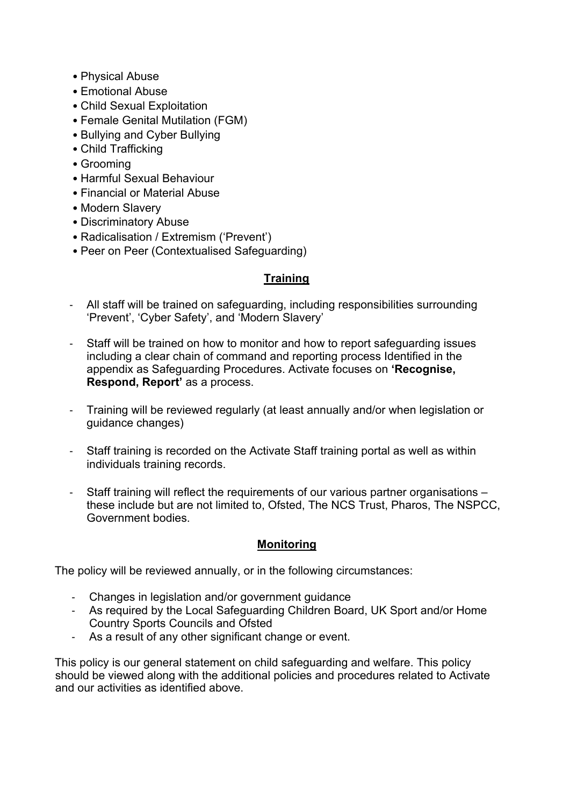- Physical Abuse
- Emotional Abuse
- Child Sexual Exploitation
- Female Genital Mutilation (FGM)
- Bullying and Cyber Bullying
- Child Trafficking
- Grooming
- Harmful Sexual Behaviour
- Financial or Material Abuse
- Modern Slavery
- Discriminatory Abuse
- Radicalisation / Extremism ('Prevent')
- Peer on Peer (Contextualised Safeguarding)

# **Training**

- All staff will be trained on safeguarding, including responsibilities surrounding 'Prevent', 'Cyber Safety', and 'Modern Slavery'
- Staff will be trained on how to monitor and how to report safeguarding issues including a clear chain of command and reporting process Identified in the appendix as Safeguarding Procedures. Activate focuses on **'Recognise, Respond, Report'** as a process.
- Training will be reviewed regularly (at least annually and/or when legislation or guidance changes)
- Staff training is recorded on the Activate Staff training portal as well as within individuals training records.
- Staff training will reflect the requirements of our various partner organisations these include but are not limited to, Ofsted, The NCS Trust, Pharos, The NSPCC, Government bodies.

### **Monitoring**

The policy will be reviewed annually, or in the following circumstances:

- Changes in legislation and/or government guidance
- As required by the Local Safeguarding Children Board, UK Sport and/or Home Country Sports Councils and Ofsted
- As a result of any other significant change or event.

This policy is our general statement on child safeguarding and welfare. This policy should be viewed along with the additional policies and procedures related to Activate and our activities as identified above.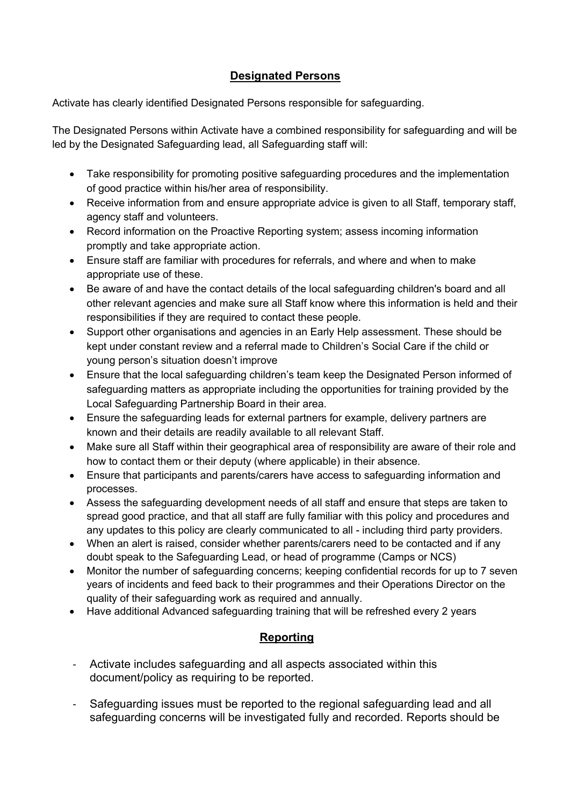# **Designated Persons**

Activate has clearly identified Designated Persons responsible for safeguarding.

The Designated Persons within Activate have a combined responsibility for safeguarding and will be led by the Designated Safeguarding lead, all Safeguarding staff will:

- Take responsibility for promoting positive safeguarding procedures and the implementation of good practice within his/her area of responsibility.
- Receive information from and ensure appropriate advice is given to all Staff, temporary staff, agency staff and volunteers.
- Record information on the Proactive Reporting system; assess incoming information promptly and take appropriate action.
- Ensure staff are familiar with procedures for referrals, and where and when to make appropriate use of these.
- Be aware of and have the contact details of the local safeguarding children's board and all other relevant agencies and make sure all Staff know where this information is held and their responsibilities if they are required to contact these people.
- Support other organisations and agencies in an Early Help assessment. These should be kept under constant review and a referral made to Children's Social Care if the child or young person's situation doesn't improve
- Ensure that the local safeguarding children's team keep the Designated Person informed of safeguarding matters as appropriate including the opportunities for training provided by the Local Safeguarding Partnership Board in their area.
- Ensure the safeguarding leads for external partners for example, delivery partners are known and their details are readily available to all relevant Staff.
- Make sure all Staff within their geographical area of responsibility are aware of their role and how to contact them or their deputy (where applicable) in their absence.
- Ensure that participants and parents/carers have access to safeguarding information and processes.
- Assess the safeguarding development needs of all staff and ensure that steps are taken to spread good practice, and that all staff are fully familiar with this policy and procedures and any updates to this policy are clearly communicated to all - including third party providers.
- When an alert is raised, consider whether parents/carers need to be contacted and if any doubt speak to the Safeguarding Lead, or head of programme (Camps or NCS)
- Monitor the number of safeguarding concerns; keeping confidential records for up to 7 seven years of incidents and feed back to their programmes and their Operations Director on the quality of their safeguarding work as required and annually.
- Have additional Advanced safeguarding training that will be refreshed every 2 years

# **Reporting**

- Activate includes safeguarding and all aspects associated within this document/policy as requiring to be reported.
- Safeguarding issues must be reported to the regional safeguarding lead and all safeguarding concerns will be investigated fully and recorded. Reports should be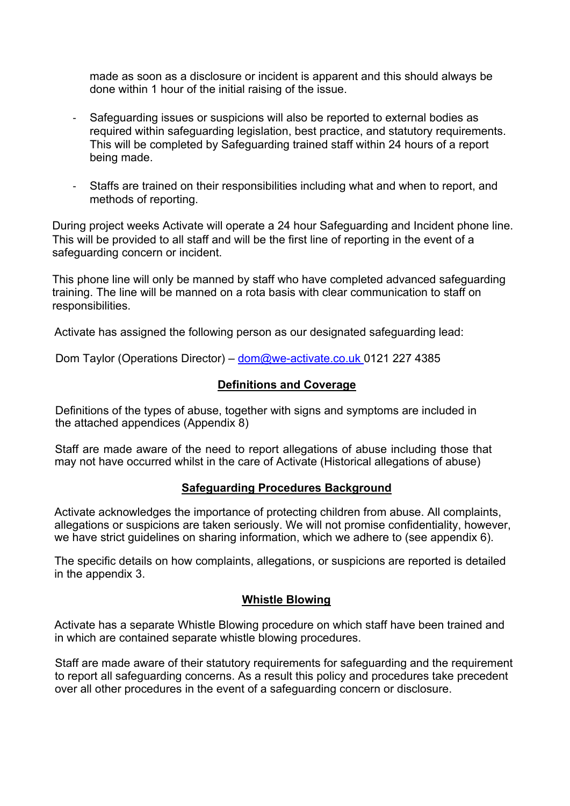made as soon as a disclosure or incident is apparent and this should always be done within 1 hour of the initial raising of the issue.

- Safeguarding issues or suspicions will also be reported to external bodies as required within safeguarding legislation, best practice, and statutory requirements. This will be completed by Safeguarding trained staff within 24 hours of a report being made.
- Staffs are trained on their responsibilities including what and when to report, and methods of reporting.

During project weeks Activate will operate a 24 hour Safeguarding and Incident phone line. This will be provided to all staff and will be the first line of reporting in the event of a safeguarding concern or incident.

This phone line will only be manned by staff who have completed advanced safeguarding training. The line will be manned on a rota basis with clear communication to staff on responsibilities.

Activate has assigned the following person as our designated safeguarding lead:

Dom Taylor (Operations Director) – dom@we-activate.co.uk 0121 227 4385

### **Definitions and Coverage**

Definitions of the types of abuse, together with signs and symptoms are included in the attached appendices (Appendix 8)

Staff are made aware of the need to report allegations of abuse including those that may not have occurred whilst in the care of Activate (Historical allegations of abuse)

### **Safeguarding Procedures Background**

Activate acknowledges the importance of protecting children from abuse. All complaints, allegations or suspicions are taken seriously. We will not promise confidentiality, however, we have strict guidelines on sharing information, which we adhere to (see appendix 6).

The specific details on how complaints, allegations, or suspicions are reported is detailed in the appendix 3.

### **Whistle Blowing**

Activate has a separate Whistle Blowing procedure on which staff have been trained and in which are contained separate whistle blowing procedures.

Staff are made aware of their statutory requirements for safeguarding and the requirement to report all safeguarding concerns. As a result this policy and procedures take precedent over all other procedures in the event of a safeguarding concern or disclosure.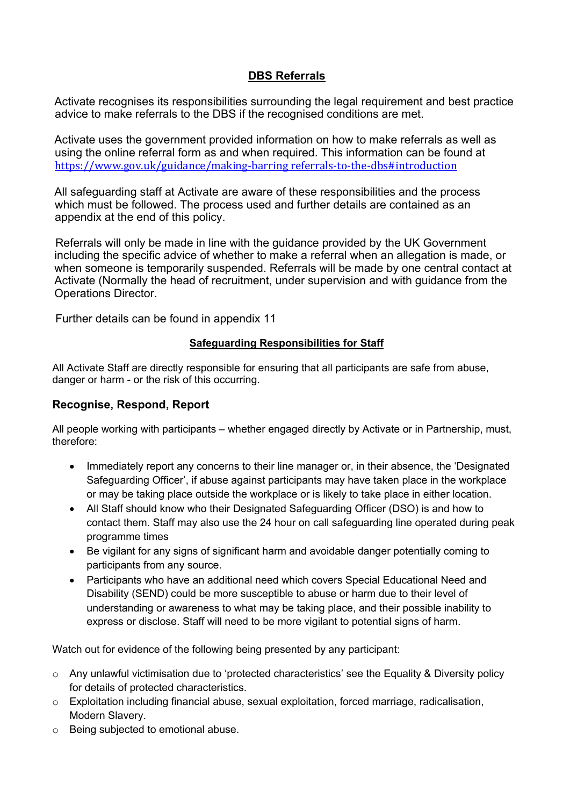### **DBS Referrals**

Activate recognises its responsibilities surrounding the legal requirement and best practice advice to make referrals to the DBS if the recognised conditions are met.

Activate uses the government provided information on how to make referrals as well as using the online referral form as and when required. This information can be found at https://www.gov.uk/guidance/making-barring referrals-to-the-dbs#introduction

All safeguarding staff at Activate are aware of these responsibilities and the process which must be followed. The process used and further details are contained as an appendix at the end of this policy.

Referrals will only be made in line with the guidance provided by the UK Government including the specific advice of whether to make a referral when an allegation is made, or when someone is temporarily suspended. Referrals will be made by one central contact at Activate (Normally the head of recruitment, under supervision and with guidance from the Operations Director.

Further details can be found in appendix 11

#### **Safeguarding Responsibilities for Staff**

All Activate Staff are directly responsible for ensuring that all participants are safe from abuse, danger or harm - or the risk of this occurring.

#### **Recognise, Respond, Report**

All people working with participants – whether engaged directly by Activate or in Partnership, must, therefore:

- Immediately report any concerns to their line manager or, in their absence, the 'Designated Safeguarding Officer', if abuse against participants may have taken place in the workplace or may be taking place outside the workplace or is likely to take place in either location.
- All Staff should know who their Designated Safeguarding Officer (DSO) is and how to contact them. Staff may also use the 24 hour on call safeguarding line operated during peak programme times
- Be vigilant for any signs of significant harm and avoidable danger potentially coming to participants from any source.
- Participants who have an additional need which covers Special Educational Need and Disability (SEND) could be more susceptible to abuse or harm due to their level of understanding or awareness to what may be taking place, and their possible inability to express or disclose. Staff will need to be more vigilant to potential signs of harm.

Watch out for evidence of the following being presented by any participant:

- $\circ$  Any unlawful victimisation due to 'protected characteristics' see the Equality & Diversity policy for details of protected characteristics.
- $\circ$  Exploitation including financial abuse, sexual exploitation, forced marriage, radicalisation, Modern Slavery.
- o Being subjected to emotional abuse.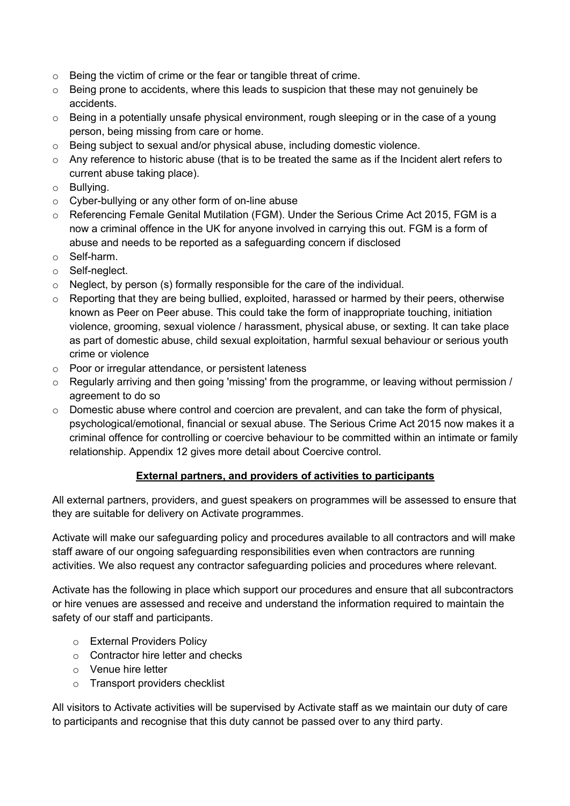- o Being the victim of crime or the fear or tangible threat of crime.
- o Being prone to accidents, where this leads to suspicion that these may not genuinely be accidents.
- $\circ$  Being in a potentially unsafe physical environment, rough sleeping or in the case of a young person, being missing from care or home.
- $\circ$  Being subject to sexual and/or physical abuse, including domestic violence.
- o Any reference to historic abuse (that is to be treated the same as if the Incident alert refers to current abuse taking place).
- o Bullying.
- o Cyber-bullying or any other form of on-line abuse
- o Referencing Female Genital Mutilation (FGM). Under the Serious Crime Act 2015, FGM is a now a criminal offence in the UK for anyone involved in carrying this out. FGM is a form of abuse and needs to be reported as a safeguarding concern if disclosed
- o Self-harm.
- o Self-neglect.
- $\circ$  Neglect, by person (s) formally responsible for the care of the individual.
- $\circ$  Reporting that they are being bullied, exploited, harassed or harmed by their peers, otherwise known as Peer on Peer abuse. This could take the form of inappropriate touching, initiation violence, grooming, sexual violence / harassment, physical abuse, or sexting. It can take place as part of domestic abuse, child sexual exploitation, harmful sexual behaviour or serious youth crime or violence
- o Poor or irregular attendance, or persistent lateness
- o Regularly arriving and then going 'missing' from the programme, or leaving without permission / agreement to do so
- o Domestic abuse where control and coercion are prevalent, and can take the form of physical, psychological/emotional, financial or sexual abuse. The Serious Crime Act 2015 now makes it a criminal offence for controlling or coercive behaviour to be committed within an intimate or family relationship. Appendix 12 gives more detail about Coercive control.

### **External partners, and providers of activities to participants**

All external partners, providers, and guest speakers on programmes will be assessed to ensure that they are suitable for delivery on Activate programmes.

Activate will make our safeguarding policy and procedures available to all contractors and will make staff aware of our ongoing safeguarding responsibilities even when contractors are running activities. We also request any contractor safeguarding policies and procedures where relevant.

Activate has the following in place which support our procedures and ensure that all subcontractors or hire venues are assessed and receive and understand the information required to maintain the safety of our staff and participants.

- o External Providers Policy
- o Contractor hire letter and checks
- o Venue hire letter
- o Transport providers checklist

All visitors to Activate activities will be supervised by Activate staff as we maintain our duty of care to participants and recognise that this duty cannot be passed over to any third party.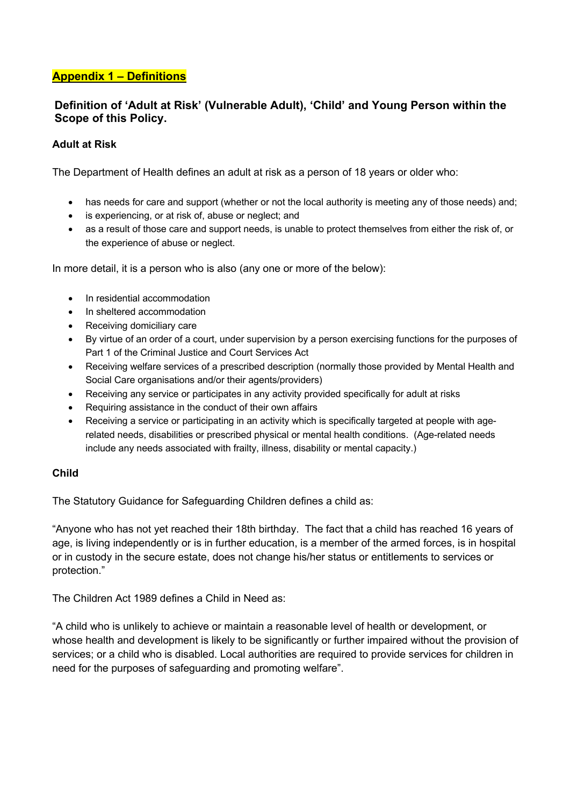### **Appendix 1 – Definitions**

### **Definition of 'Adult at Risk' (Vulnerable Adult), 'Child' and Young Person within the Scope of this Policy.**

### **Adult at Risk**

The Department of Health defines an adult at risk as a person of 18 years or older who:

- has needs for care and support (whether or not the local authority is meeting any of those needs) and;
- is experiencing, or at risk of, abuse or neglect; and
- as a result of those care and support needs, is unable to protect themselves from either the risk of, or the experience of abuse or neglect.

In more detail, it is a person who is also (any one or more of the below):

- In residential accommodation
- In sheltered accommodation
- Receiving domiciliary care
- By virtue of an order of a court, under supervision by a person exercising functions for the purposes of Part 1 of the Criminal Justice and Court Services Act
- Receiving welfare services of a prescribed description (normally those provided by Mental Health and Social Care organisations and/or their agents/providers)
- Receiving any service or participates in any activity provided specifically for adult at risks
- Requiring assistance in the conduct of their own affairs
- Receiving a service or participating in an activity which is specifically targeted at people with agerelated needs, disabilities or prescribed physical or mental health conditions. (Age-related needs include any needs associated with frailty, illness, disability or mental capacity.)

#### **Child**

The Statutory Guidance for Safeguarding Children defines a child as:

"Anyone who has not yet reached their 18th birthday. The fact that a child has reached 16 years of age, is living independently or is in further education, is a member of the armed forces, is in hospital or in custody in the secure estate, does not change his/her status or entitlements to services or protection."

The Children Act 1989 defines a Child in Need as:

"A child who is unlikely to achieve or maintain a reasonable level of health or development, or whose health and development is likely to be significantly or further impaired without the provision of services; or a child who is disabled. Local authorities are required to provide services for children in need for the purposes of safeguarding and promoting welfare".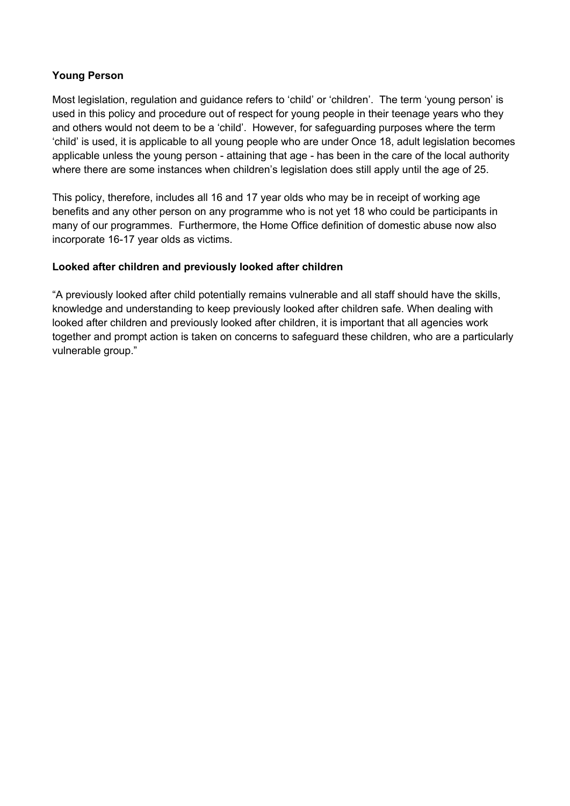### **Young Person**

Most legislation, regulation and guidance refers to 'child' or 'children'. The term 'young person' is used in this policy and procedure out of respect for young people in their teenage years who they and others would not deem to be a 'child'. However, for safeguarding purposes where the term 'child' is used, it is applicable to all young people who are under Once 18, adult legislation becomes applicable unless the young person - attaining that age - has been in the care of the local authority where there are some instances when children's legislation does still apply until the age of 25.

This policy, therefore, includes all 16 and 17 year olds who may be in receipt of working age benefits and any other person on any programme who is not yet 18 who could be participants in many of our programmes. Furthermore, the Home Office definition of domestic abuse now also incorporate 16-17 year olds as victims.

### **Looked after children and previously looked after children**

"A previously looked after child potentially remains vulnerable and all staff should have the skills, knowledge and understanding to keep previously looked after children safe. When dealing with looked after children and previously looked after children, it is important that all agencies work together and prompt action is taken on concerns to safeguard these children, who are a particularly vulnerable group."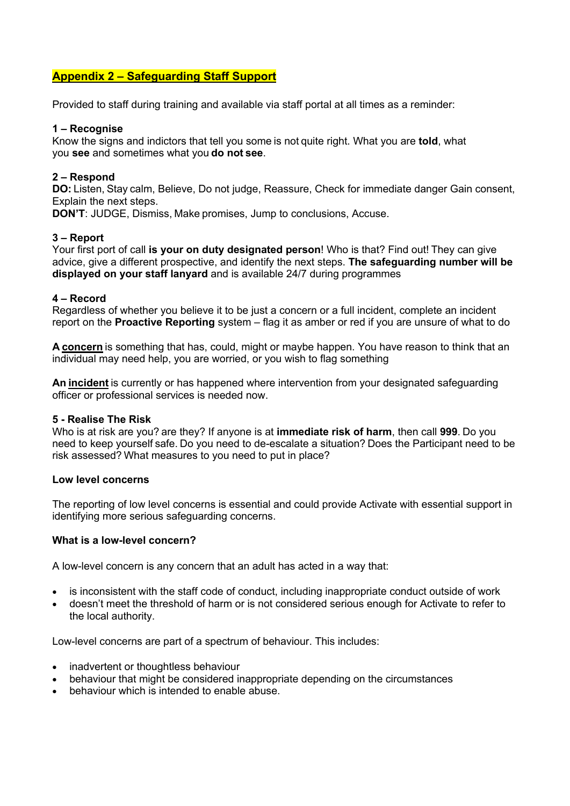### **Appendix 2 – Safeguarding Staff Support**

Provided to staff during training and available via staff portal at all times as a reminder:

#### **1 – Recognise**

Know the signs and indictors that tell you some is not quite right. What you are **told**, what you **see** and sometimes what you **do not see**. 

#### **2 – Respond**

**DO:** Listen, Stay calm, Believe, Do not judge, Reassure, Check for immediate danger Gain consent, Explain the next steps. 

**DON'T**: JUDGE, Dismiss, Make promises, Jump to conclusions, Accuse. 

#### **3 – Report**

Your first port of call **is your on duty designated person**! Who is that? Find out! They can give advice, give a different prospective, and identify the next steps. **The safeguarding number will be displayed on your staff lanyard** and is available 24/7 during programmes

#### **4 – Record**

Regardless of whether you believe it to be just a concern or a full incident, complete an incident report on the **Proactive Reporting** system – flag it as amber or red if you are unsure of what to do

**A concern** is something that has, could, might or maybe happen. You have reason to think that an individual may need help, you are worried, or you wish to flag something

**An incident** is currently or has happened where intervention from your designated safeguarding officer or professional services is needed now.

#### **5 - Realise The Risk**

Who is at risk are you? are they? If anyone is at **immediate risk of harm**, then call **999**. Do you need to keep yourself safe. Do you need to de-escalate a situation? Does the Participant need to be risk assessed? What measures to you need to put in place?  

#### **Low level concerns**

The reporting of low level concerns is essential and could provide Activate with essential support in identifying more serious safeguarding concerns.

#### **What is a low-level concern?**

A low-level concern is any concern that an adult has acted in a way that:

- is inconsistent with the staff code of conduct, including inappropriate conduct outside of work
- doesn't meet the threshold of harm or is not considered serious enough for Activate to refer to the local authority.

Low-level concerns are part of a spectrum of behaviour. This includes:

- inadvertent or thoughtless behaviour
- behaviour that might be considered inappropriate depending on the circumstances
- behaviour which is intended to enable abuse.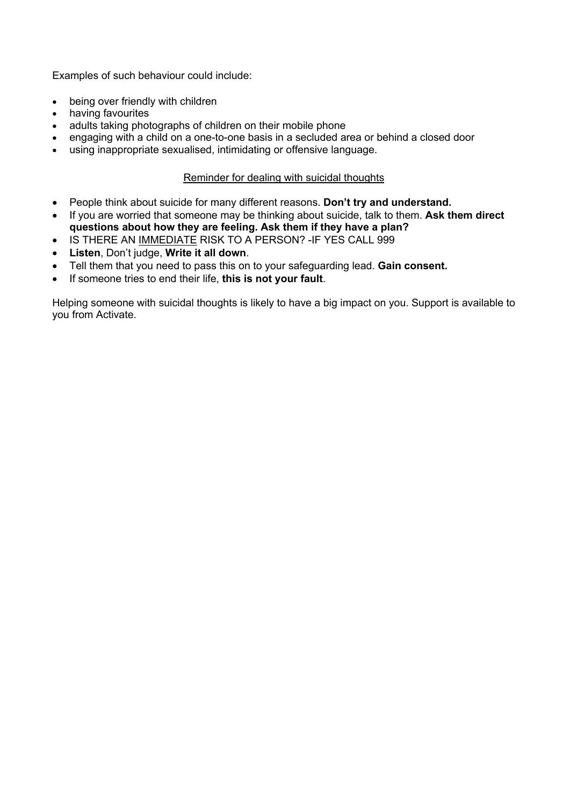Examples of such behaviour could include:

- being over friendly with children
- having favourites
- adults taking photographs of children on their mobile phone
- engaging with a child on a one-to-one basis in a secluded area or behind a closed door
- using inappropriate sexualised, intimidating or offensive language.

#### Reminder for dealing with suicidal thoughts

- People think about suicide for many different reasons. **Don't try and understand.**
- If you are worried that someone may be thinking about suicide, talk to them. **Ask them direct questions about how they are feeling. Ask them if they have a plan?**
- IS THERE AN IMMEDIATE RISK TO A PERSON? -IF YES CALL 999
- **Listen**, Don't judge, **Write it all down**.
- Tell them that you need to pass this on to your safeguarding lead. **Gain consent.**
- If someone tries to end their life, **this is not your fault**.

Helping someone with suicidal thoughts is likely to have a big impact on you. Support is available to you from Activate.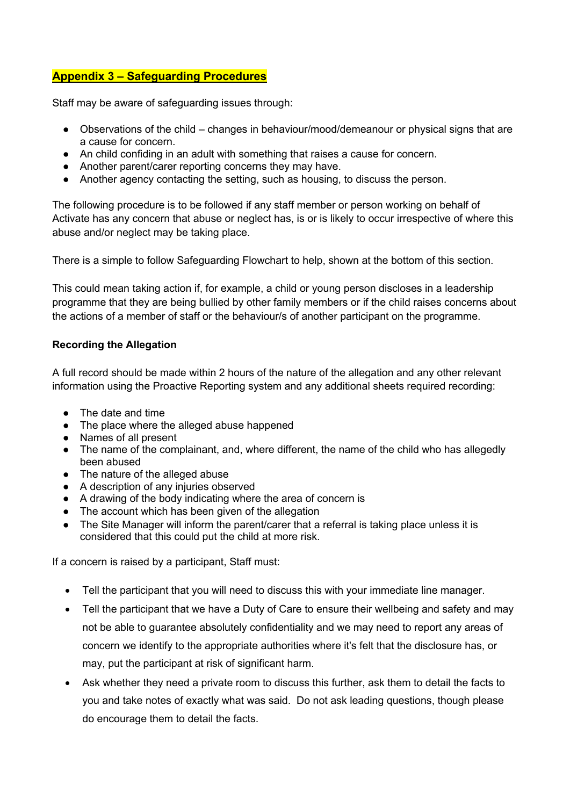### **Appendix 3 – Safeguarding Procedures**

Staff may be aware of safeguarding issues through:

- Observations of the child changes in behaviour/mood/demeanour or physical signs that are a cause for concern.
- An child confiding in an adult with something that raises a cause for concern.
- Another parent/carer reporting concerns they may have.
- Another agency contacting the setting, such as housing, to discuss the person.

The following procedure is to be followed if any staff member or person working on behalf of Activate has any concern that abuse or neglect has, is or is likely to occur irrespective of where this abuse and/or neglect may be taking place.

There is a simple to follow Safeguarding Flowchart to help, shown at the bottom of this section.

This could mean taking action if, for example, a child or young person discloses in a leadership programme that they are being bullied by other family members or if the child raises concerns about the actions of a member of staff or the behaviour/s of another participant on the programme.

### **Recording the Allegation**

A full record should be made within 2 hours of the nature of the allegation and any other relevant information using the Proactive Reporting system and any additional sheets required recording:

- The date and time
- The place where the alleged abuse happened
- Names of all present
- The name of the complainant, and, where different, the name of the child who has allegedly been abused
- The nature of the alleged abuse
- A description of any injuries observed
- A drawing of the body indicating where the area of concern is
- The account which has been given of the allegation
- The Site Manager will inform the parent/carer that a referral is taking place unless it is considered that this could put the child at more risk.

If a concern is raised by a participant, Staff must:

- Tell the participant that you will need to discuss this with your immediate line manager.
- Tell the participant that we have a Duty of Care to ensure their wellbeing and safety and may not be able to guarantee absolutely confidentiality and we may need to report any areas of concern we identify to the appropriate authorities where it's felt that the disclosure has, or may, put the participant at risk of significant harm.
- Ask whether they need a private room to discuss this further, ask them to detail the facts to you and take notes of exactly what was said. Do not ask leading questions, though please do encourage them to detail the facts.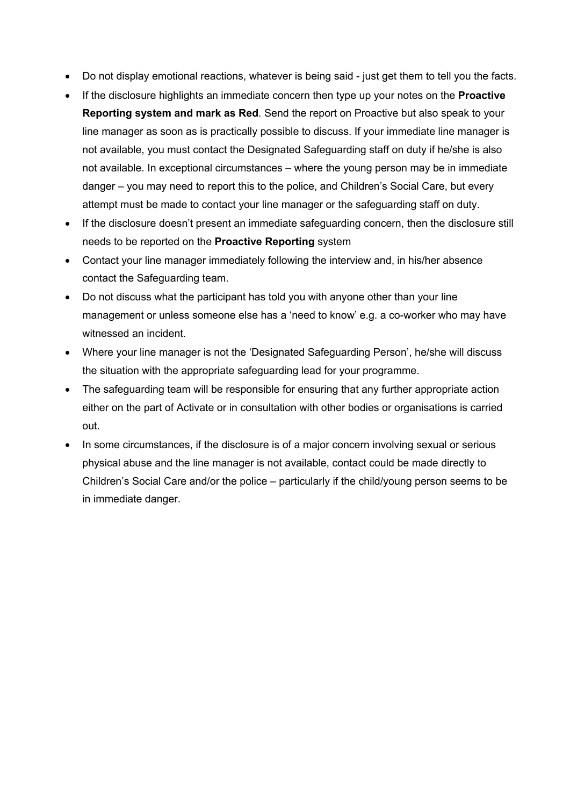- Do not display emotional reactions, whatever is being said just get them to tell you the facts.
- If the disclosure highlights an immediate concern then type up your notes on the **Proactive Reporting system and mark as Red**. Send the report on Proactive but also speak to your line manager as soon as is practically possible to discuss. If your immediate line manager is not available, you must contact the Designated Safeguarding staff on duty if he/she is also not available. In exceptional circumstances – where the young person may be in immediate danger – you may need to report this to the police, and Children's Social Care, but every attempt must be made to contact your line manager or the safeguarding staff on duty.
- If the disclosure doesn't present an immediate safeguarding concern, then the disclosure still needs to be reported on the **Proactive Reporting** system
- Contact your line manager immediately following the interview and, in his/her absence contact the Safeguarding team.
- Do not discuss what the participant has told you with anyone other than your line management or unless someone else has a 'need to know' e.g. a co-worker who may have witnessed an incident.
- Where your line manager is not the 'Designated Safeguarding Person', he/she will discuss the situation with the appropriate safeguarding lead for your programme.
- The safeguarding team will be responsible for ensuring that any further appropriate action either on the part of Activate or in consultation with other bodies or organisations is carried out.
- In some circumstances, if the disclosure is of a major concern involving sexual or serious physical abuse and the line manager is not available, contact could be made directly to Children's Social Care and/or the police – particularly if the child/young person seems to be in immediate danger.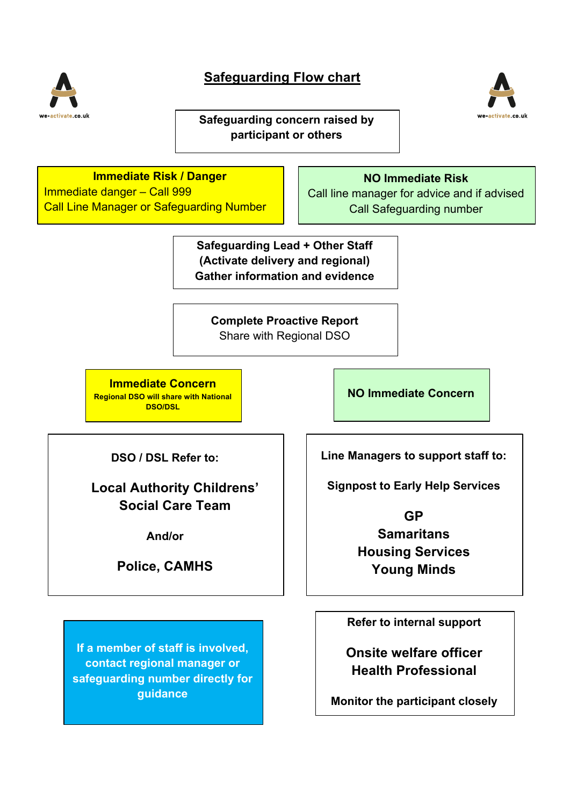

# **Safeguarding Flow chart**

**Safeguarding concern raised by participant or others**



# **Immediate Risk / Danger**

Immediate danger – Call 999 Call Line Manager or Safeguarding Number

### **NO Immediate Risk**

activate

Call line manager for advice and if advised Call Safeguarding number

**Safeguarding Lead + Other Staff (Activate delivery and regional) Gather information and evidence**

**Complete Proactive Report** Share with Regional DSO

**Immediate Concern Regional DSO will share with National DSO/DSL**

**NO Immediate Concern**

**DSO / DSL Refer to:**

**Local Authority Childrens' Social Care Team**

**And/or**

**Police, CAMHS**

**Line Managers to support staff to:**

**Signpost to Early Help Services**

**GP**

**Samaritans Housing Services Young Minds**

**Refer to internal support**

**Onsite welfare officer Health Professional**

**Monitor the participant closely**

**If a member of staff is involved, contact regional manager or safeguarding number directly for guidance**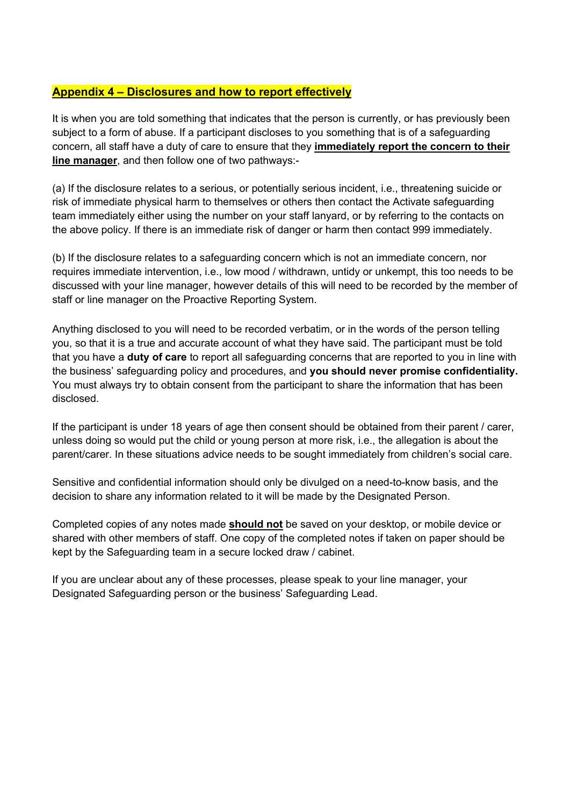### **Appendix 4 – Disclosures and how to report effectively**

It is when you are told something that indicates that the person is currently, or has previously been subject to a form of abuse. If a participant discloses to you something that is of a safeguarding concern, all staff have a duty of care to ensure that they **immediately report the concern to their line manager**, and then follow one of two pathways:-

(a) If the disclosure relates to a serious, or potentially serious incident, i.e., threatening suicide or risk of immediate physical harm to themselves or others then contact the Activate safeguarding team immediately either using the number on your staff lanyard, or by referring to the contacts on the above policy. If there is an immediate risk of danger or harm then contact 999 immediately.

(b) If the disclosure relates to a safeguarding concern which is not an immediate concern, nor requires immediate intervention, i.e., low mood / withdrawn, untidy or unkempt, this too needs to be discussed with your line manager, however details of this will need to be recorded by the member of staff or line manager on the Proactive Reporting System.

Anything disclosed to you will need to be recorded verbatim, or in the words of the person telling you, so that it is a true and accurate account of what they have said. The participant must be told that you have a **duty of care** to report all safeguarding concerns that are reported to you in line with the business' safeguarding policy and procedures, and **you should never promise confidentiality.**  You must always try to obtain consent from the participant to share the information that has been disclosed.

If the participant is under 18 years of age then consent should be obtained from their parent / carer, unless doing so would put the child or young person at more risk, i.e., the allegation is about the parent/carer. In these situations advice needs to be sought immediately from children's social care.

Sensitive and confidential information should only be divulged on a need-to-know basis, and the decision to share any information related to it will be made by the Designated Person.

Completed copies of any notes made **should not** be saved on your desktop, or mobile device or shared with other members of staff. One copy of the completed notes if taken on paper should be kept by the Safeguarding team in a secure locked draw / cabinet.

If you are unclear about any of these processes, please speak to your line manager, your Designated Safeguarding person or the business' Safeguarding Lead.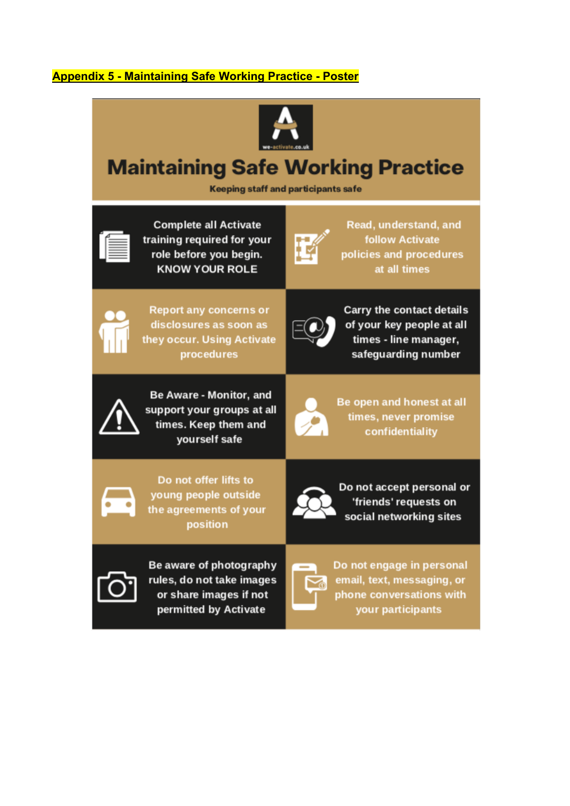# **Appendix 5 - Maintaining Safe Working Practice - Poster**



# **Maintaining Safe Working Practice**

**Keeping staff and participants safe** 



**Complete all Activate** training required for your role before you begin. **KNOW YOUR ROLE** 



Read, understand, and **follow Activate** policies and procedures at all times



**Report any concerns or** disclosures as soon as they occur. Using Activate procedures



**Carry the contact details** of your key people at all times - line manager, safeguarding number







Be open and honest at all times, never promise confidentiality



Do not offer lifts to young people outside the agreements of your position



Do not accept personal or 'friends' requests on social networking sites



Be aware of photography rules, do not take images or share images if not permitted by Activate



Do not engage in personal email, text, messaging, or phone conversations with your participants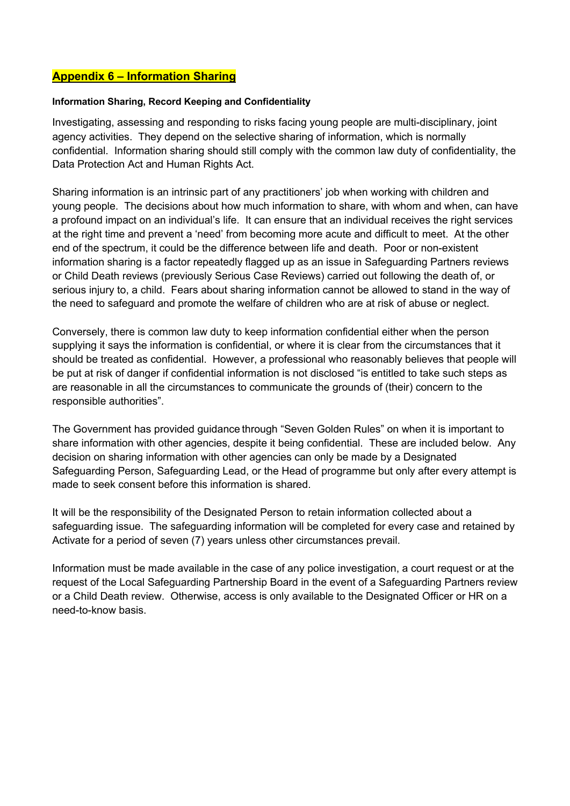### **Appendix 6 – Information Sharing**

#### **Information Sharing, Record Keeping and Confidentiality**

Investigating, assessing and responding to risks facing young people are multi-disciplinary, joint agency activities. They depend on the selective sharing of information, which is normally confidential. Information sharing should still comply with the common law duty of confidentiality, the Data Protection Act and Human Rights Act.

Sharing information is an intrinsic part of any practitioners' job when working with children and young people. The decisions about how much information to share, with whom and when, can have a profound impact on an individual's life. It can ensure that an individual receives the right services at the right time and prevent a 'need' from becoming more acute and difficult to meet. At the other end of the spectrum, it could be the difference between life and death. Poor or non-existent information sharing is a factor repeatedly flagged up as an issue in Safeguarding Partners reviews or Child Death reviews (previously Serious Case Reviews) carried out following the death of, or serious injury to, a child. Fears about sharing information cannot be allowed to stand in the way of the need to safeguard and promote the welfare of children who are at risk of abuse or neglect.

Conversely, there is common law duty to keep information confidential either when the person supplying it says the information is confidential, or where it is clear from the circumstances that it should be treated as confidential. However, a professional who reasonably believes that people will be put at risk of danger if confidential information is not disclosed "is entitled to take such steps as are reasonable in all the circumstances to communicate the grounds of (their) concern to the responsible authorities".

The Government has provided guidance through "Seven Golden Rules" on when it is important to share information with other agencies, despite it being confidential. These are included below. Any decision on sharing information with other agencies can only be made by a Designated Safeguarding Person, Safeguarding Lead, or the Head of programme but only after every attempt is made to seek consent before this information is shared.

It will be the responsibility of the Designated Person to retain information collected about a safeguarding issue. The safeguarding information will be completed for every case and retained by Activate for a period of seven (7) years unless other circumstances prevail.

Information must be made available in the case of any police investigation, a court request or at the request of the Local Safeguarding Partnership Board in the event of a Safeguarding Partners review or a Child Death review. Otherwise, access is only available to the Designated Officer or HR on a need-to-know basis.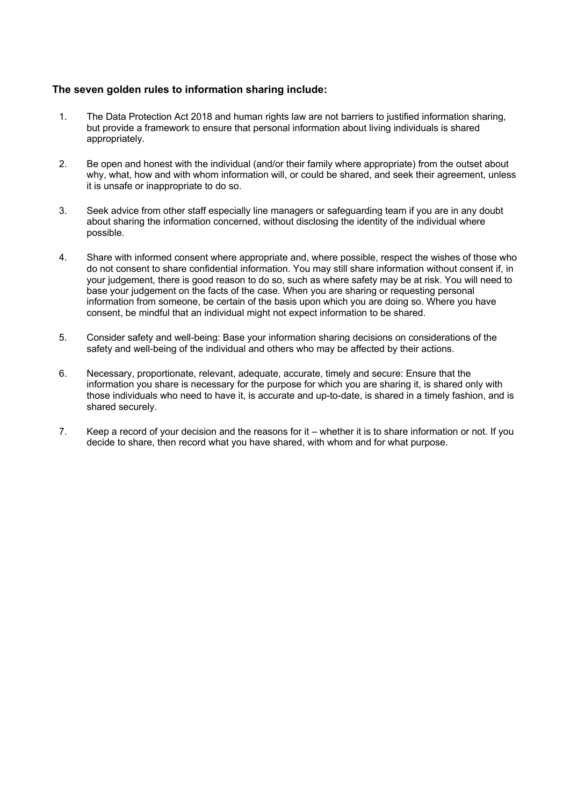#### **The seven golden rules to information sharing include:**

- 1. The Data Protection Act 2018 and human rights law are not barriers to justified information sharing, but provide a framework to ensure that personal information about living individuals is shared appropriately.
- 2. Be open and honest with the individual (and/or their family where appropriate) from the outset about why, what, how and with whom information will, or could be shared, and seek their agreement, unless it is unsafe or inappropriate to do so.
- 3. Seek advice from other staff especially line managers or safeguarding team if you are in any doubt about sharing the information concerned, without disclosing the identity of the individual where possible.
- 4. Share with informed consent where appropriate and, where possible, respect the wishes of those who do not consent to share confidential information. You may still share information without consent if, in your judgement, there is good reason to do so, such as where safety may be at risk. You will need to base your judgement on the facts of the case. When you are sharing or requesting personal information from someone, be certain of the basis upon which you are doing so. Where you have consent, be mindful that an individual might not expect information to be shared.
- 5. Consider safety and well-being: Base your information sharing decisions on considerations of the safety and well-being of the individual and others who may be affected by their actions.
- 6. Necessary, proportionate, relevant, adequate, accurate, timely and secure: Ensure that the information you share is necessary for the purpose for which you are sharing it, is shared only with those individuals who need to have it, is accurate and up-to-date, is shared in a timely fashion, and is shared securely.
- 7. Keep a record of your decision and the reasons for it whether it is to share information or not. If you decide to share, then record what you have shared, with whom and for what purpose.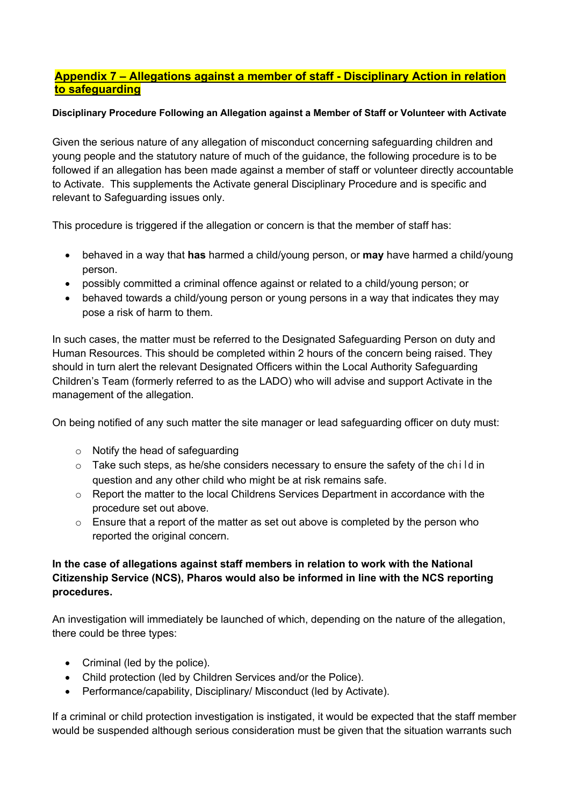### **Appendix 7 – Allegations against a member of staff - Disciplinary Action in relation to safeguarding**

#### **Disciplinary Procedure Following an Allegation against a Member of Staff or Volunteer with Activate**

Given the serious nature of any allegation of misconduct concerning safeguarding children and young people and the statutory nature of much of the guidance, the following procedure is to be followed if an allegation has been made against a member of staff or volunteer directly accountable to Activate. This supplements the Activate general Disciplinary Procedure and is specific and relevant to Safeguarding issues only.

This procedure is triggered if the allegation or concern is that the member of staff has:

- behaved in a way that **has** harmed a child/young person, or **may** have harmed a child/young person.
- possibly committed a criminal offence against or related to a child/young person; or
- behaved towards a child/young person or young persons in a way that indicates they may pose a risk of harm to them.

In such cases, the matter must be referred to the Designated Safeguarding Person on duty and Human Resources. This should be completed within 2 hours of the concern being raised. They should in turn alert the relevant Designated Officers within the Local Authority Safeguarding Children's Team (formerly referred to as the LADO) who will advise and support Activate in the management of the allegation.

On being notified of any such matter the site manager or lead safeguarding officer on duty must:

- o Notify the head of safeguarding
- o Take such steps, as he/she considers necessary to ensure the safety of the child in question and any other child who might be at risk remains safe.
- $\circ$  Report the matter to the local Childrens Services Department in accordance with the procedure set out above.
- o Ensure that a report of the matter as set out above is completed by the person who reported the original concern.

### **In the case of allegations against staff members in relation to work with the National Citizenship Service (NCS), Pharos would also be informed in line with the NCS reporting procedures.**

An investigation will immediately be launched of which, depending on the nature of the allegation, there could be three types:

- Criminal (led by the police).
- Child protection (led by Children Services and/or the Police).
- Performance/capability, Disciplinary/ Misconduct (led by Activate).

If a criminal or child protection investigation is instigated, it would be expected that the staff member would be suspended although serious consideration must be given that the situation warrants such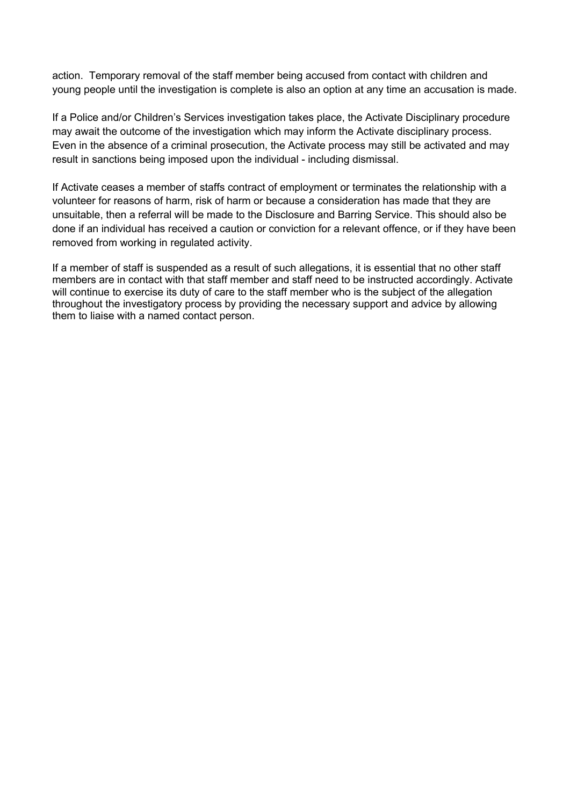action. Temporary removal of the staff member being accused from contact with children and young people until the investigation is complete is also an option at any time an accusation is made.

If a Police and/or Children's Services investigation takes place, the Activate Disciplinary procedure may await the outcome of the investigation which may inform the Activate disciplinary process. Even in the absence of a criminal prosecution, the Activate process may still be activated and may result in sanctions being imposed upon the individual - including dismissal.

If Activate ceases a member of staffs contract of employment or terminates the relationship with a volunteer for reasons of harm, risk of harm or because a consideration has made that they are unsuitable, then a referral will be made to the Disclosure and Barring Service. This should also be done if an individual has received a caution or conviction for a relevant offence, or if they have been removed from working in regulated activity.

If a member of staff is suspended as a result of such allegations, it is essential that no other staff members are in contact with that staff member and staff need to be instructed accordingly. Activate will continue to exercise its duty of care to the staff member who is the subject of the allegation throughout the investigatory process by providing the necessary support and advice by allowing them to liaise with a named contact person.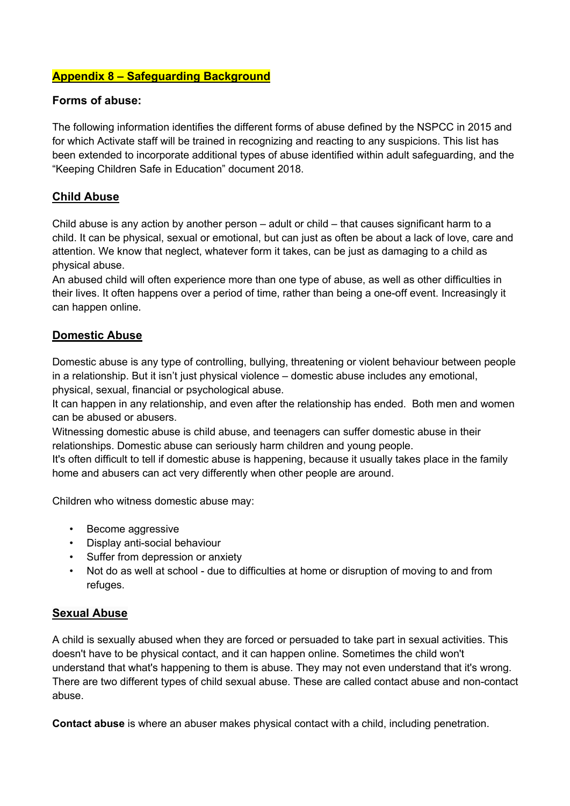### **Appendix 8 – Safeguarding Background**

### **Forms of abuse:**

The following information identifies the different forms of abuse defined by the NSPCC in 2015 and for which Activate staff will be trained in recognizing and reacting to any suspicions. This list has been extended to incorporate additional types of abuse identified within adult safeguarding, and the "Keeping Children Safe in Education" document 2018.

### **Child Abuse**

Child abuse is any action by another person – adult or child – that causes significant harm to a child. It can be physical, sexual or emotional, but can just as often be about a lack of love, care and attention. We know that neglect, whatever form it takes, can be just as damaging to a child as physical abuse.

An abused child will often experience more than one type of abuse, as well as other difficulties in their lives. It often happens over a period of time, rather than being a one-off event. Increasingly it can happen online.

### **Domestic Abuse**

Domestic abuse is any type of controlling, bullying, threatening or violent behaviour between people in a relationship. But it isn't just physical violence – domestic abuse includes any emotional, physical, sexual, financial or psychological abuse.

It can happen in any relationship, and even after the relationship has ended. Both men and women can be abused or abusers.

Witnessing domestic abuse is child abuse, and teenagers can suffer domestic abuse in their relationships. Domestic abuse can seriously harm children and young people.

It's often difficult to tell if domestic abuse is happening, because it usually takes place in the family home and abusers can act very differently when other people are around.

Children who witness domestic abuse may:

- Become aggressive
- Display anti-social behaviour
- Suffer from depression or anxiety
- Not do as well at school due to difficulties at home or disruption of moving to and from refuges.

#### **Sexual Abuse**

A child is sexually abused when they are forced or persuaded to take part in sexual activities. This doesn't have to be physical contact, and it can happen online. Sometimes the child won't understand that what's happening to them is abuse. They may not even understand that it's wrong. There are two different types of child sexual abuse. These are called contact abuse and non-contact abuse.

**Contact abuse** is where an abuser makes physical contact with a child, including penetration.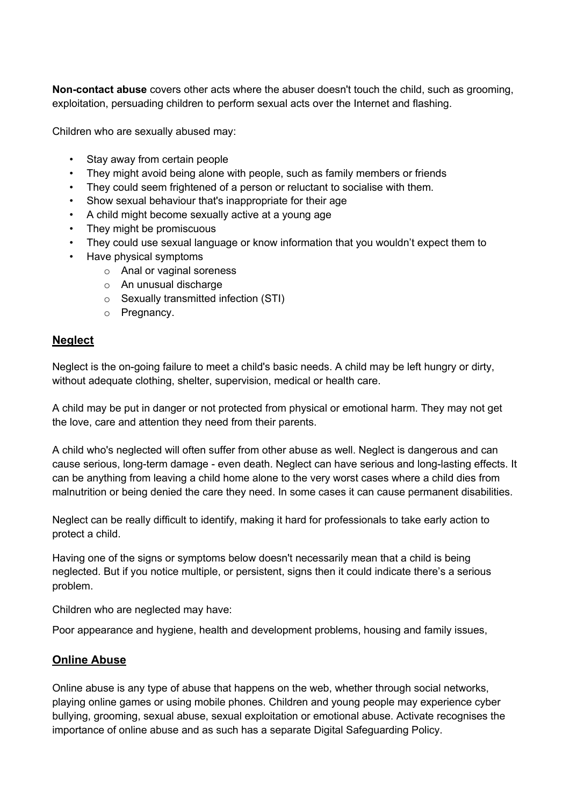**Non-contact abuse** covers other acts where the abuser doesn't touch the child, such as grooming, exploitation, persuading children to perform sexual acts over the Internet and flashing.

Children who are sexually abused may:

- Stay away from certain people
- They might avoid being alone with people, such as family members or friends
- They could seem frightened of a person or reluctant to socialise with them.
- Show sexual behaviour that's inappropriate for their age
- A child might become sexually active at a young age
- They might be promiscuous
- They could use sexual language or know information that you wouldn't expect them to
- Have physical symptoms
	- o Anal or vaginal soreness
	- o An unusual discharge
	- o Sexually transmitted infection (STI)
	- o Pregnancy.

### **Neglect**

Neglect is the on-going failure to meet a child's basic needs. A child may be left hungry or dirty, without adequate clothing, shelter, supervision, medical or health care.

A child may be put in danger or not protected from physical or emotional harm. They may not get the love, care and attention they need from their parents.

A child who's neglected will often suffer from other abuse as well. Neglect is dangerous and can cause serious, long-term damage - even death. Neglect can have serious and long-lasting effects. It can be anything from leaving a child home alone to the very worst cases where a child dies from malnutrition or being denied the care they need. In some cases it can cause permanent disabilities.

Neglect can be really difficult to identify, making it hard for professionals to take early action to protect a child.

Having one of the signs or symptoms below doesn't necessarily mean that a child is being neglected. But if you notice multiple, or persistent, signs then it could indicate there's a serious problem.

Children who are neglected may have:

Poor appearance and hygiene, health and development problems, housing and family issues,

### **Online Abuse**

Online abuse is any type of abuse that happens on the web, whether through social networks, playing online games or using mobile phones. Children and young people may experience cyber bullying, grooming, sexual abuse, sexual exploitation or emotional abuse. Activate recognises the importance of online abuse and as such has a separate Digital Safeguarding Policy.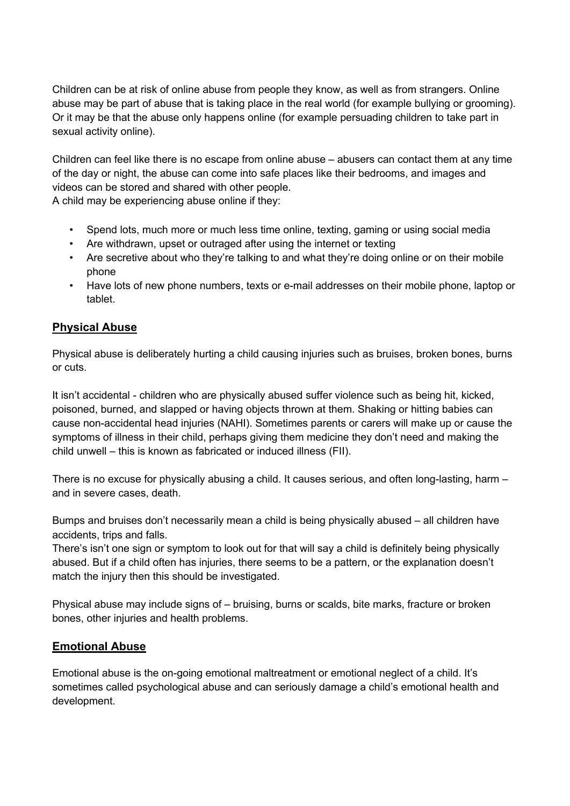Children can be at risk of online abuse from people they know, as well as from strangers. Online abuse may be part of abuse that is taking place in the real world (for example bullying or grooming). Or it may be that the abuse only happens online (for example persuading children to take part in sexual activity online).

Children can feel like there is no escape from online abuse – abusers can contact them at any time of the day or night, the abuse can come into safe places like their bedrooms, and images and videos can be stored and shared with other people.

A child may be experiencing abuse online if they:

- Spend lots, much more or much less time online, texting, gaming or using social media
- Are withdrawn, upset or outraged after using the internet or texting
- Are secretive about who they're talking to and what they're doing online or on their mobile phone
- Have lots of new phone numbers, texts or e-mail addresses on their mobile phone, laptop or tablet.

# **Physical Abuse**

Physical abuse is deliberately hurting a child causing injuries such as bruises, broken bones, burns or cuts.

It isn't accidental - children who are physically abused suffer violence such as being hit, kicked, poisoned, burned, and slapped or having objects thrown at them. Shaking or hitting babies can cause non-accidental head injuries (NAHI). Sometimes parents or carers will make up or cause the symptoms of illness in their child, perhaps giving them medicine they don't need and making the child unwell – this is known as fabricated or induced illness (FII).

There is no excuse for physically abusing a child. It causes serious, and often long-lasting, harm – and in severe cases, death.

Bumps and bruises don't necessarily mean a child is being physically abused – all children have accidents, trips and falls.

There's isn't one sign or symptom to look out for that will say a child is definitely being physically abused. But if a child often has injuries, there seems to be a pattern, or the explanation doesn't match the injury then this should be investigated.

Physical abuse may include signs of – bruising, burns or scalds, bite marks, fracture or broken bones, other injuries and health problems.

# **Emotional Abuse**

Emotional abuse is the on-going emotional maltreatment or emotional neglect of a child. It's sometimes called psychological abuse and can seriously damage a child's emotional health and development.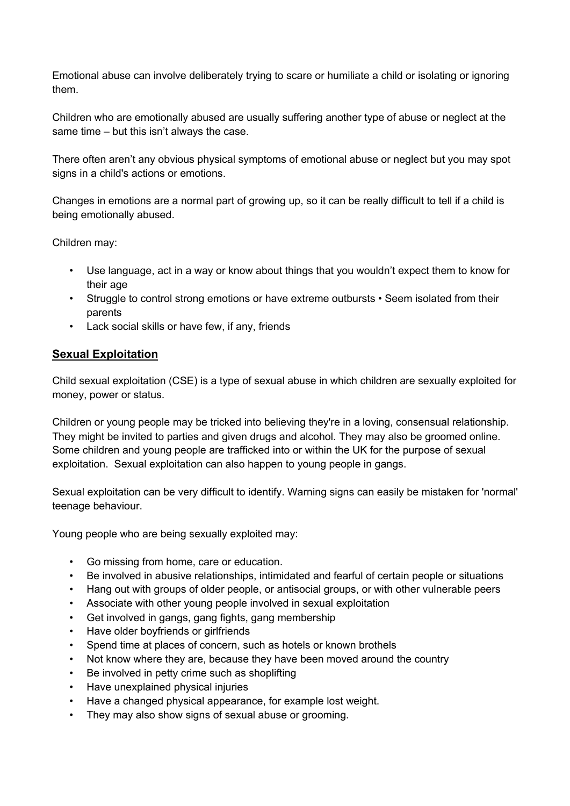Emotional abuse can involve deliberately trying to scare or humiliate a child or isolating or ignoring them.

Children who are emotionally abused are usually suffering another type of abuse or neglect at the same time – but this isn't always the case.

There often aren't any obvious physical symptoms of emotional abuse or neglect but you may spot signs in a child's actions or emotions.

Changes in emotions are a normal part of growing up, so it can be really difficult to tell if a child is being emotionally abused.

Children may:

- Use language, act in a way or know about things that you wouldn't expect them to know for their age
- Struggle to control strong emotions or have extreme outbursts Seem isolated from their parents
- Lack social skills or have few, if any, friends

### **Sexual Exploitation**

Child sexual exploitation (CSE) is a type of sexual abuse in which children are sexually exploited for money, power or status.

Children or young people may be tricked into believing they're in a loving, consensual relationship. They might be invited to parties and given drugs and alcohol. They may also be groomed online. Some children and young people are trafficked into or within the UK for the purpose of sexual exploitation. Sexual exploitation can also happen to young people in gangs.

Sexual exploitation can be very difficult to identify. Warning signs can easily be mistaken for 'normal' teenage behaviour.

Young people who are being sexually exploited may:

- Go missing from home, care or education.
- Be involved in abusive relationships, intimidated and fearful of certain people or situations
- Hang out with groups of older people, or antisocial groups, or with other vulnerable peers
- Associate with other young people involved in sexual exploitation
- Get involved in gangs, gang fights, gang membership
- Have older boyfriends or girlfriends
- Spend time at places of concern, such as hotels or known brothels
- Not know where they are, because they have been moved around the country
- Be involved in petty crime such as shoplifting
- Have unexplained physical injuries
- Have a changed physical appearance, for example lost weight.
- They may also show signs of sexual abuse or grooming.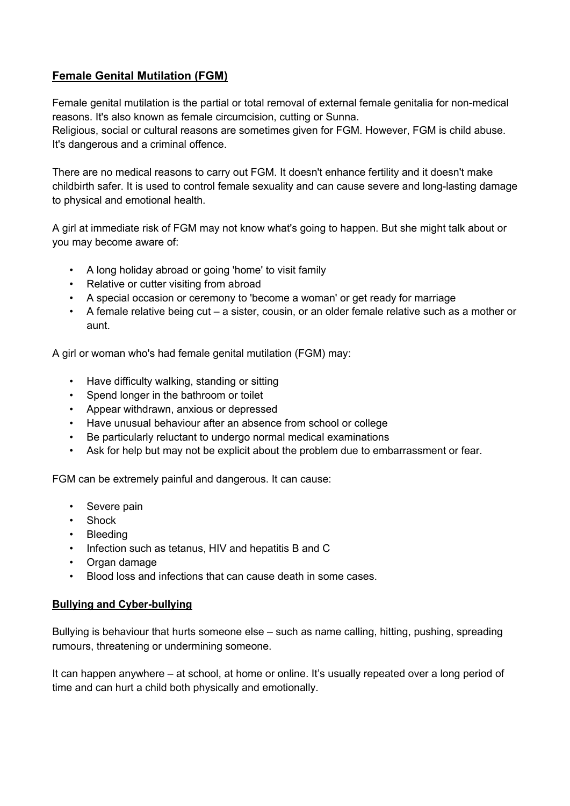# **Female Genital Mutilation (FGM)**

Female genital mutilation is the partial or total removal of external female genitalia for non-medical reasons. It's also known as female circumcision, cutting or Sunna. Religious, social or cultural reasons are sometimes given for FGM. However, FGM is child abuse. It's dangerous and a criminal offence.

There are no medical reasons to carry out FGM. It doesn't enhance fertility and it doesn't make childbirth safer. It is used to control female sexuality and can cause severe and long-lasting damage to physical and emotional health.

A girl at immediate risk of FGM may not know what's going to happen. But she might talk about or you may become aware of:

- A long holiday abroad or going 'home' to visit family
- Relative or cutter visiting from abroad
- A special occasion or ceremony to 'become a woman' or get ready for marriage
- A female relative being cut a sister, cousin, or an older female relative such as a mother or aunt.

A girl or woman who's had female genital mutilation (FGM) may:

- Have difficulty walking, standing or sitting
- Spend longer in the bathroom or toilet
- Appear withdrawn, anxious or depressed
- Have unusual behaviour after an absence from school or college
- Be particularly reluctant to undergo normal medical examinations
- Ask for help but may not be explicit about the problem due to embarrassment or fear.

FGM can be extremely painful and dangerous. It can cause:

- Severe pain
- Shock
- Bleeding
- Infection such as tetanus, HIV and hepatitis B and C
- Organ damage
- Blood loss and infections that can cause death in some cases.

#### **Bullying and Cyber-bullying**

Bullying is behaviour that hurts someone else – such as name calling, hitting, pushing, spreading rumours, threatening or undermining someone.

It can happen anywhere – at school, at home or online. It's usually repeated over a long period of time and can hurt a child both physically and emotionally.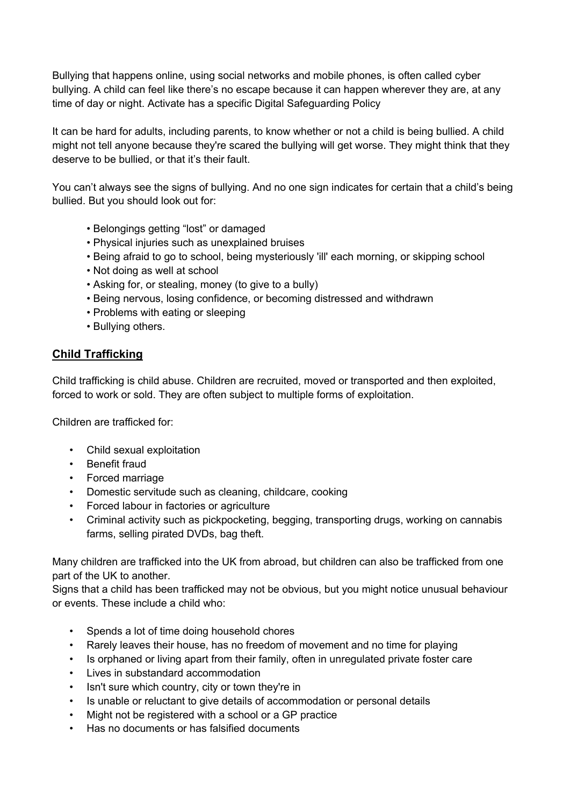Bullying that happens online, using social networks and mobile phones, is often called cyber bullying. A child can feel like there's no escape because it can happen wherever they are, at any time of day or night. Activate has a specific Digital Safeguarding Policy

It can be hard for adults, including parents, to know whether or not a child is being bullied. A child might not tell anyone because they're scared the bullying will get worse. They might think that they deserve to be bullied, or that it's their fault.

You can't always see the signs of bullying. And no one sign indicates for certain that a child's being bullied. But you should look out for:

- Belongings getting "lost" or damaged
- Physical injuries such as unexplained bruises
- Being afraid to go to school, being mysteriously 'ill' each morning, or skipping school
- Not doing as well at school
- Asking for, or stealing, money (to give to a bully)
- Being nervous, losing confidence, or becoming distressed and withdrawn
- Problems with eating or sleeping
- Bullying others.

### **Child Trafficking**

Child trafficking is child abuse. Children are recruited, moved or transported and then exploited, forced to work or sold. They are often subject to multiple forms of exploitation.

Children are trafficked for:

- Child sexual exploitation
- Benefit fraud
- Forced marriage
- Domestic servitude such as cleaning, childcare, cooking
- Forced labour in factories or agriculture
- Criminal activity such as pickpocketing, begging, transporting drugs, working on cannabis farms, selling pirated DVDs, bag theft.

Many children are trafficked into the UK from abroad, but children can also be trafficked from one part of the UK to another.

Signs that a child has been trafficked may not be obvious, but you might notice unusual behaviour or events. These include a child who:

- Spends a lot of time doing household chores
- Rarely leaves their house, has no freedom of movement and no time for playing
- Is orphaned or living apart from their family, often in unregulated private foster care
- Lives in substandard accommodation
- Isn't sure which country, city or town they're in
- Is unable or reluctant to give details of accommodation or personal details
- Might not be registered with a school or a GP practice
- Has no documents or has falsified documents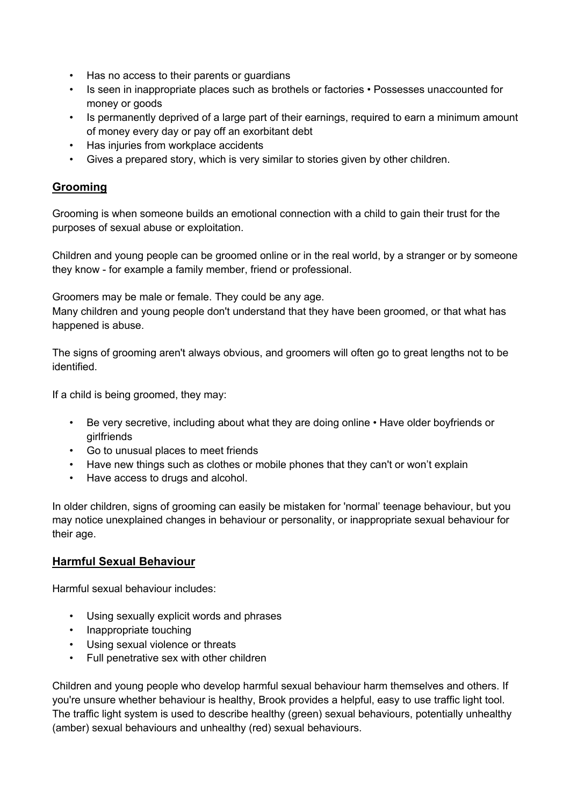- Has no access to their parents or guardians
- Is seen in inappropriate places such as brothels or factories Possesses unaccounted for money or goods
- Is permanently deprived of a large part of their earnings, required to earn a minimum amount of money every day or pay off an exorbitant debt
- Has injuries from workplace accidents
- Gives a prepared story, which is very similar to stories given by other children.

### **Grooming**

Grooming is when someone builds an emotional connection with a child to gain their trust for the purposes of sexual abuse or exploitation.

Children and young people can be groomed online or in the real world, by a stranger or by someone they know - for example a family member, friend or professional.

Groomers may be male or female. They could be any age.

Many children and young people don't understand that they have been groomed, or that what has happened is abuse.

The signs of grooming aren't always obvious, and groomers will often go to great lengths not to be identified.

If a child is being groomed, they may:

- Be very secretive, including about what they are doing online Have older boyfriends or girlfriends
- Go to unusual places to meet friends
- Have new things such as clothes or mobile phones that they can't or won't explain
- Have access to drugs and alcohol.

In older children, signs of grooming can easily be mistaken for 'normal' teenage behaviour, but you may notice unexplained changes in behaviour or personality, or inappropriate sexual behaviour for their age.

### **Harmful Sexual Behaviour**

Harmful sexual behaviour includes:

- Using sexually explicit words and phrases
- Inappropriate touching
- Using sexual violence or threats
- Full penetrative sex with other children

Children and young people who develop harmful sexual behaviour harm themselves and others. If you're unsure whether behaviour is healthy, Brook provides a helpful, easy to use traffic light tool. The traffic light system is used to describe healthy (green) sexual behaviours, potentially unhealthy (amber) sexual behaviours and unhealthy (red) sexual behaviours.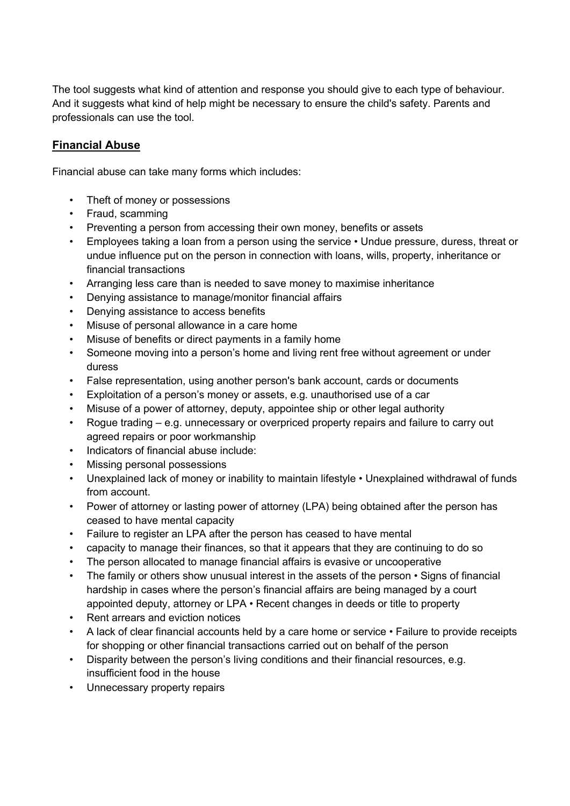The tool suggests what kind of attention and response you should give to each type of behaviour. And it suggests what kind of help might be necessary to ensure the child's safety. Parents and professionals can use the tool.

# **Financial Abuse**

Financial abuse can take many forms which includes:

- Theft of money or possessions
- Fraud, scamming
- Preventing a person from accessing their own money, benefits or assets
- Employees taking a loan from a person using the service Undue pressure, duress, threat or undue influence put on the person in connection with loans, wills, property, inheritance or financial transactions
- Arranging less care than is needed to save money to maximise inheritance
- Denying assistance to manage/monitor financial affairs
- Denying assistance to access benefits
- Misuse of personal allowance in a care home
- Misuse of benefits or direct payments in a family home
- Someone moving into a person's home and living rent free without agreement or under duress
- False representation, using another person's bank account, cards or documents
- Exploitation of a person's money or assets, e.g. unauthorised use of a car
- Misuse of a power of attorney, deputy, appointee ship or other legal authority
- Rogue trading e.g. unnecessary or overpriced property repairs and failure to carry out agreed repairs or poor workmanship
- Indicators of financial abuse include:
- Missing personal possessions
- Unexplained lack of money or inability to maintain lifestyle Unexplained withdrawal of funds from account.
- Power of attorney or lasting power of attorney (LPA) being obtained after the person has ceased to have mental capacity
- Failure to register an LPA after the person has ceased to have mental
- capacity to manage their finances, so that it appears that they are continuing to do so
- The person allocated to manage financial affairs is evasive or uncooperative
- The family or others show unusual interest in the assets of the person Signs of financial hardship in cases where the person's financial affairs are being managed by a court appointed deputy, attorney or LPA • Recent changes in deeds or title to property
- Rent arrears and eviction notices
- A lack of clear financial accounts held by a care home or service Failure to provide receipts for shopping or other financial transactions carried out on behalf of the person
- Disparity between the person's living conditions and their financial resources, e.g. insufficient food in the house
- Unnecessary property repairs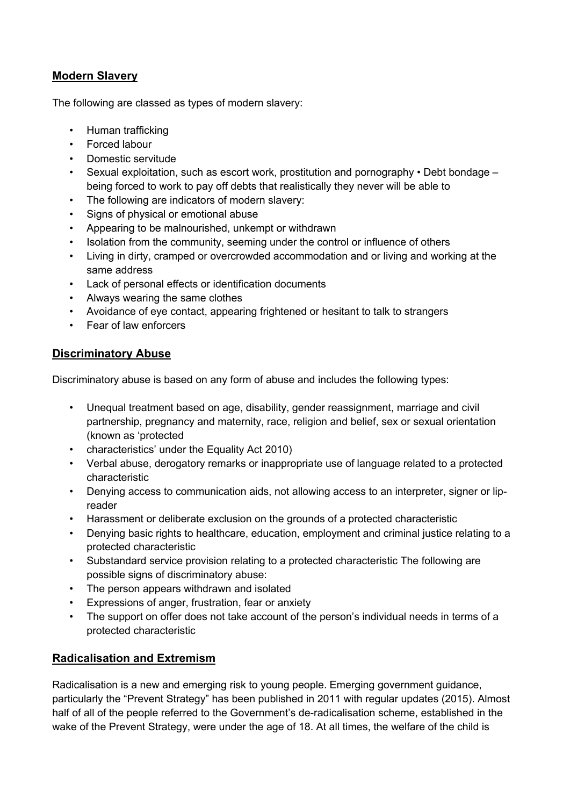### **Modern Slavery**

The following are classed as types of modern slavery:

- Human trafficking
- Forced labour
- Domestic servitude
- Sexual exploitation, such as escort work, prostitution and pornography Debt bondage being forced to work to pay off debts that realistically they never will be able to
- The following are indicators of modern slavery:
- Signs of physical or emotional abuse
- Appearing to be malnourished, unkempt or withdrawn
- Isolation from the community, seeming under the control or influence of others
- Living in dirty, cramped or overcrowded accommodation and or living and working at the same address
- Lack of personal effects or identification documents
- Always wearing the same clothes
- Avoidance of eye contact, appearing frightened or hesitant to talk to strangers
- Fear of law enforcers

### **Discriminatory Abuse**

Discriminatory abuse is based on any form of abuse and includes the following types:

- Unequal treatment based on age, disability, gender reassignment, marriage and civil partnership, pregnancy and maternity, race, religion and belief, sex or sexual orientation (known as 'protected
- characteristics' under the Equality Act 2010)
- Verbal abuse, derogatory remarks or inappropriate use of language related to a protected characteristic
- Denying access to communication aids, not allowing access to an interpreter, signer or lipreader
- Harassment or deliberate exclusion on the grounds of a protected characteristic
- Denying basic rights to healthcare, education, employment and criminal justice relating to a protected characteristic
- Substandard service provision relating to a protected characteristic The following are possible signs of discriminatory abuse:
- The person appears withdrawn and isolated
- Expressions of anger, frustration, fear or anxiety
- The support on offer does not take account of the person's individual needs in terms of a protected characteristic

# **Radicalisation and Extremism**

Radicalisation is a new and emerging risk to young people. Emerging government guidance, particularly the "Prevent Strategy" has been published in 2011 with regular updates (2015). Almost half of all of the people referred to the Government's de-radicalisation scheme, established in the wake of the Prevent Strategy, were under the age of 18. At all times, the welfare of the child is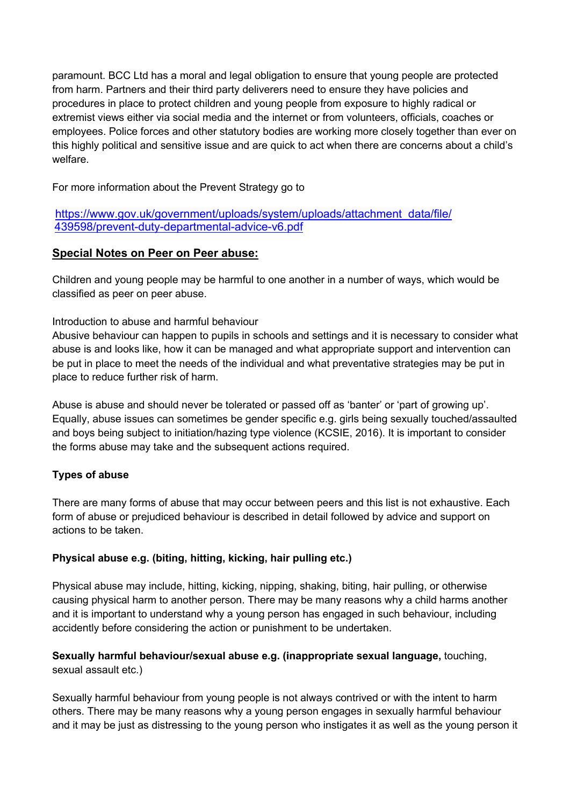paramount. BCC Ltd has a moral and legal obligation to ensure that young people are protected from harm. Partners and their third party deliverers need to ensure they have policies and procedures in place to protect children and young people from exposure to highly radical or extremist views either via social media and the internet or from volunteers, officials, coaches or employees. Police forces and other statutory bodies are working more closely together than ever on this highly political and sensitive issue and are quick to act when there are concerns about a child's welfare.

For more information about the Prevent Strategy go to

### https://www.gov.uk/government/uploads/system/uploads/attachment\_data/file/ 439598/prevent-duty-departmental-advice-v6.pdf

# **Special Notes on Peer on Peer abuse:**

Children and young people may be harmful to one another in a number of ways, which would be classified as peer on peer abuse.

# Introduction to abuse and harmful behaviour

Abusive behaviour can happen to pupils in schools and settings and it is necessary to consider what abuse is and looks like, how it can be managed and what appropriate support and intervention can be put in place to meet the needs of the individual and what preventative strategies may be put in place to reduce further risk of harm.

Abuse is abuse and should never be tolerated or passed off as 'banter' or 'part of growing up'. Equally, abuse issues can sometimes be gender specific e.g. girls being sexually touched/assaulted and boys being subject to initiation/hazing type violence (KCSIE, 2016). It is important to consider the forms abuse may take and the subsequent actions required.

# **Types of abuse**

There are many forms of abuse that may occur between peers and this list is not exhaustive. Each form of abuse or prejudiced behaviour is described in detail followed by advice and support on actions to be taken.

# **Physical abuse e.g. (biting, hitting, kicking, hair pulling etc.)**

Physical abuse may include, hitting, kicking, nipping, shaking, biting, hair pulling, or otherwise causing physical harm to another person. There may be many reasons why a child harms another and it is important to understand why a young person has engaged in such behaviour, including accidently before considering the action or punishment to be undertaken.

### **Sexually harmful behaviour/sexual abuse e.g. (inappropriate sexual language,** touching, sexual assault etc.)

Sexually harmful behaviour from young people is not always contrived or with the intent to harm others. There may be many reasons why a young person engages in sexually harmful behaviour and it may be just as distressing to the young person who instigates it as well as the young person it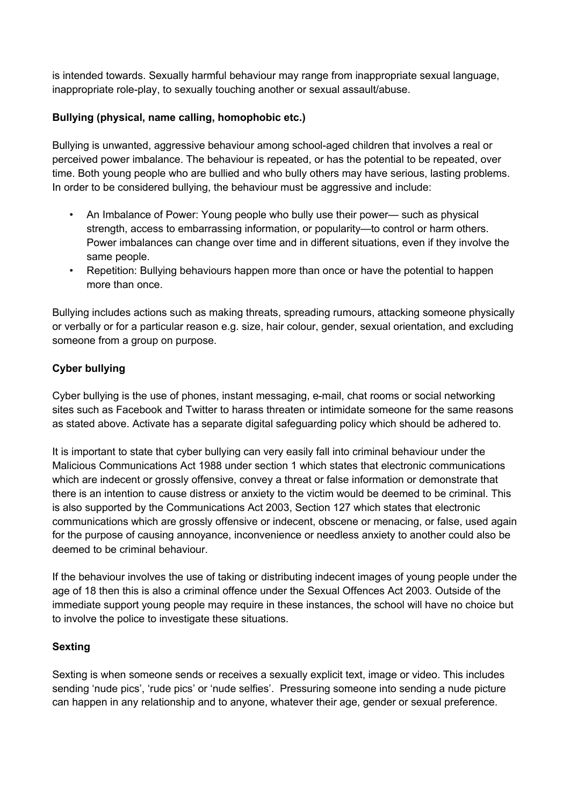is intended towards. Sexually harmful behaviour may range from inappropriate sexual language, inappropriate role-play, to sexually touching another or sexual assault/abuse.

### **Bullying (physical, name calling, homophobic etc.)**

Bullying is unwanted, aggressive behaviour among school-aged children that involves a real or perceived power imbalance. The behaviour is repeated, or has the potential to be repeated, over time. Both young people who are bullied and who bully others may have serious, lasting problems. In order to be considered bullying, the behaviour must be aggressive and include:

- An Imbalance of Power: Young people who bully use their power— such as physical strength, access to embarrassing information, or popularity—to control or harm others. Power imbalances can change over time and in different situations, even if they involve the same people.
- Repetition: Bullying behaviours happen more than once or have the potential to happen more than once.

Bullying includes actions such as making threats, spreading rumours, attacking someone physically or verbally or for a particular reason e.g. size, hair colour, gender, sexual orientation, and excluding someone from a group on purpose.

### **Cyber bullying**

Cyber bullying is the use of phones, instant messaging, e-mail, chat rooms or social networking sites such as Facebook and Twitter to harass threaten or intimidate someone for the same reasons as stated above. Activate has a separate digital safeguarding policy which should be adhered to.

It is important to state that cyber bullying can very easily fall into criminal behaviour under the Malicious Communications Act 1988 under section 1 which states that electronic communications which are indecent or grossly offensive, convey a threat or false information or demonstrate that there is an intention to cause distress or anxiety to the victim would be deemed to be criminal. This is also supported by the Communications Act 2003, Section 127 which states that electronic communications which are grossly offensive or indecent, obscene or menacing, or false, used again for the purpose of causing annoyance, inconvenience or needless anxiety to another could also be deemed to be criminal behaviour.

If the behaviour involves the use of taking or distributing indecent images of young people under the age of 18 then this is also a criminal offence under the Sexual Offences Act 2003. Outside of the immediate support young people may require in these instances, the school will have no choice but to involve the police to investigate these situations.

### **Sexting**

Sexting is when someone sends or receives a sexually explicit text, image or video. This includes sending 'nude pics', 'rude pics' or 'nude selfies'. Pressuring someone into sending a nude picture can happen in any relationship and to anyone, whatever their age, gender or sexual preference.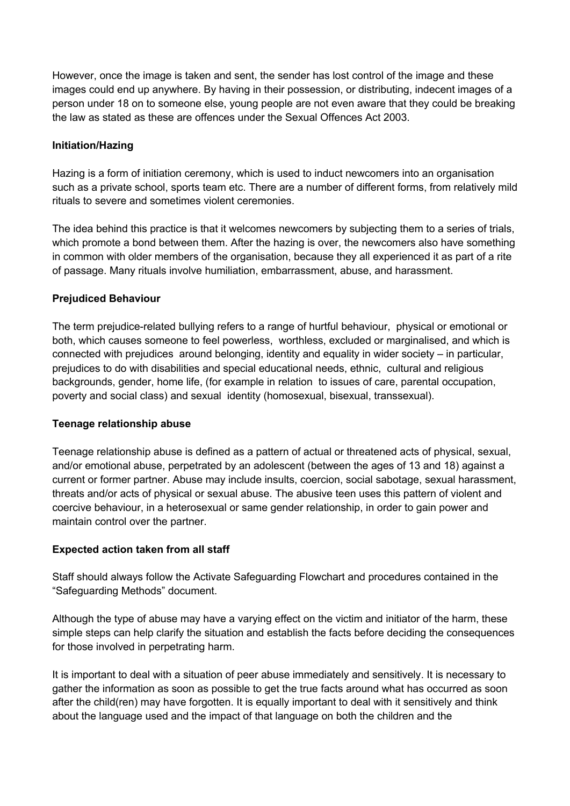However, once the image is taken and sent, the sender has lost control of the image and these images could end up anywhere. By having in their possession, or distributing, indecent images of a person under 18 on to someone else, young people are not even aware that they could be breaking the law as stated as these are offences under the Sexual Offences Act 2003.

### **Initiation/Hazing**

Hazing is a form of initiation ceremony, which is used to induct newcomers into an organisation such as a private school, sports team etc. There are a number of different forms, from relatively mild rituals to severe and sometimes violent ceremonies.

The idea behind this practice is that it welcomes newcomers by subjecting them to a series of trials, which promote a bond between them. After the hazing is over, the newcomers also have something in common with older members of the organisation, because they all experienced it as part of a rite of passage. Many rituals involve humiliation, embarrassment, abuse, and harassment.

#### **Prejudiced Behaviour**

The term prejudice-related bullying refers to a range of hurtful behaviour, physical or emotional or both, which causes someone to feel powerless, worthless, excluded or marginalised, and which is connected with prejudices around belonging, identity and equality in wider society – in particular, prejudices to do with disabilities and special educational needs, ethnic, cultural and religious backgrounds, gender, home life, (for example in relation to issues of care, parental occupation, poverty and social class) and sexual identity (homosexual, bisexual, transsexual).

#### **Teenage relationship abuse**

Teenage relationship abuse is defined as a pattern of actual or threatened acts of physical, sexual, and/or emotional abuse, perpetrated by an adolescent (between the ages of 13 and 18) against a current or former partner. Abuse may include insults, coercion, social sabotage, sexual harassment, threats and/or acts of physical or sexual abuse. The abusive teen uses this pattern of violent and coercive behaviour, in a heterosexual or same gender relationship, in order to gain power and maintain control over the partner.

### **Expected action taken from all staff**

Staff should always follow the Activate Safeguarding Flowchart and procedures contained in the "Safeguarding Methods" document.

Although the type of abuse may have a varying effect on the victim and initiator of the harm, these simple steps can help clarify the situation and establish the facts before deciding the consequences for those involved in perpetrating harm.

It is important to deal with a situation of peer abuse immediately and sensitively. It is necessary to gather the information as soon as possible to get the true facts around what has occurred as soon after the child(ren) may have forgotten. It is equally important to deal with it sensitively and think about the language used and the impact of that language on both the children and the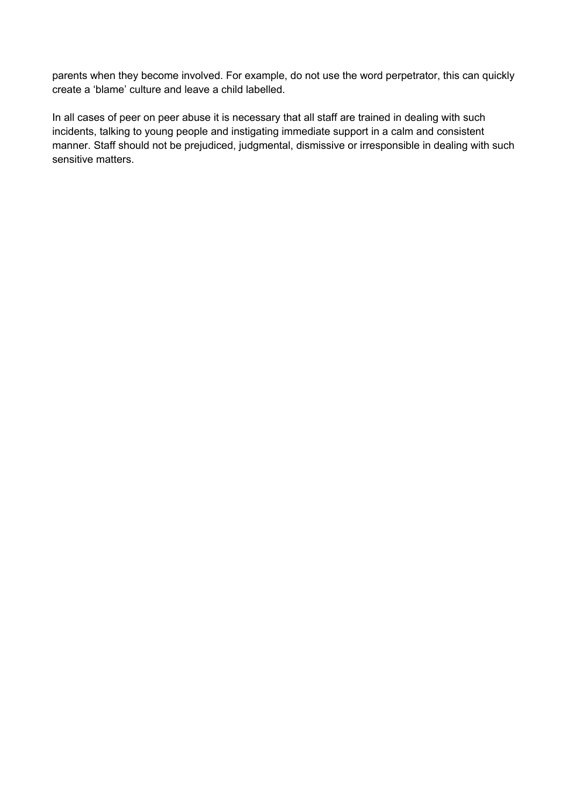parents when they become involved. For example, do not use the word perpetrator, this can quickly create a 'blame' culture and leave a child labelled.

In all cases of peer on peer abuse it is necessary that all staff are trained in dealing with such incidents, talking to young people and instigating immediate support in a calm and consistent manner. Staff should not be prejudiced, judgmental, dismissive or irresponsible in dealing with such sensitive matters.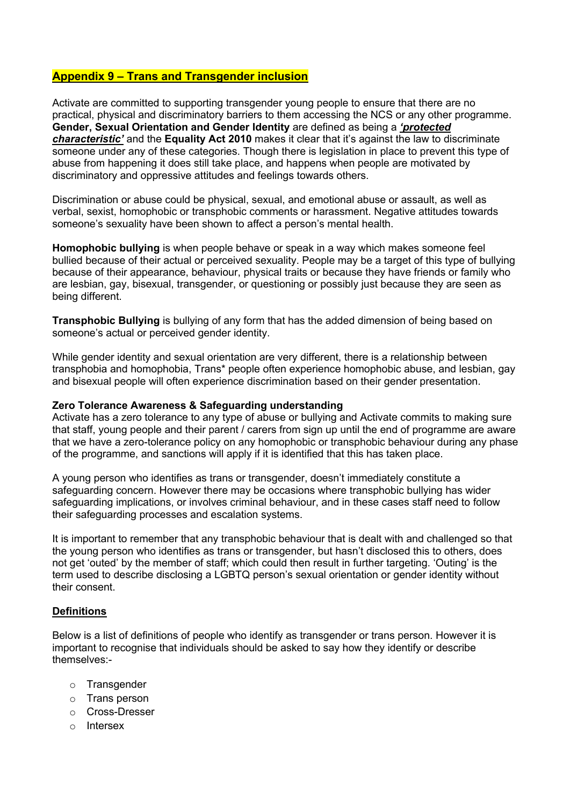#### **Appendix 9 – Trans and Transgender inclusion**

Activate are committed to supporting transgender young people to ensure that there are no practical, physical and discriminatory barriers to them accessing the NCS or any other programme. **Gender, Sexual Orientation and Gender Identity** are defined as being a *'protected characteristic'* and the **Equality Act 2010** makes it clear that it's against the law to discriminate someone under any of these categories. Though there is legislation in place to prevent this type of abuse from happening it does still take place, and happens when people are motivated by discriminatory and oppressive attitudes and feelings towards others.

Discrimination or abuse could be physical, sexual, and emotional abuse or assault, as well as verbal, sexist, homophobic or transphobic comments or harassment. Negative attitudes towards someone's sexuality have been shown to affect a person's mental health.

**Homophobic bullying** is when people behave or speak in a way which makes someone feel bullied because of their actual or perceived sexuality. People may be a target of this type of bullying because of their appearance, behaviour, physical traits or because they have friends or family who are lesbian, gay, bisexual, transgender, or questioning or possibly just because they are seen as being different.

**Transphobic Bullying** is bullying of any form that has the added dimension of being based on someone's actual or perceived gender identity.

While gender identity and sexual orientation are very different, there is a relationship between transphobia and homophobia, Trans\* people often experience homophobic abuse, and lesbian, gay and bisexual people will often experience discrimination based on their gender presentation.

#### **Zero Tolerance Awareness & Safeguarding understanding**

Activate has a zero tolerance to any type of abuse or bullying and Activate commits to making sure that staff, young people and their parent / carers from sign up until the end of programme are aware that we have a zero-tolerance policy on any homophobic or transphobic behaviour during any phase of the programme, and sanctions will apply if it is identified that this has taken place.

A young person who identifies as trans or transgender, doesn't immediately constitute a safeguarding concern. However there may be occasions where transphobic bullying has wider safeguarding implications, or involves criminal behaviour, and in these cases staff need to follow their safeguarding processes and escalation systems.

It is important to remember that any transphobic behaviour that is dealt with and challenged so that the young person who identifies as trans or transgender, but hasn't disclosed this to others, does not get 'outed' by the member of staff; which could then result in further targeting. 'Outing' is the term used to describe disclosing a LGBTQ person's sexual orientation or gender identity without their consent.

#### **Definitions**

Below is a list of definitions of people who identify as transgender or trans person. However it is important to recognise that individuals should be asked to say how they identify or describe themselves:-

- o Transgender
- o Trans person
- o Cross-Dresser
- o Intersex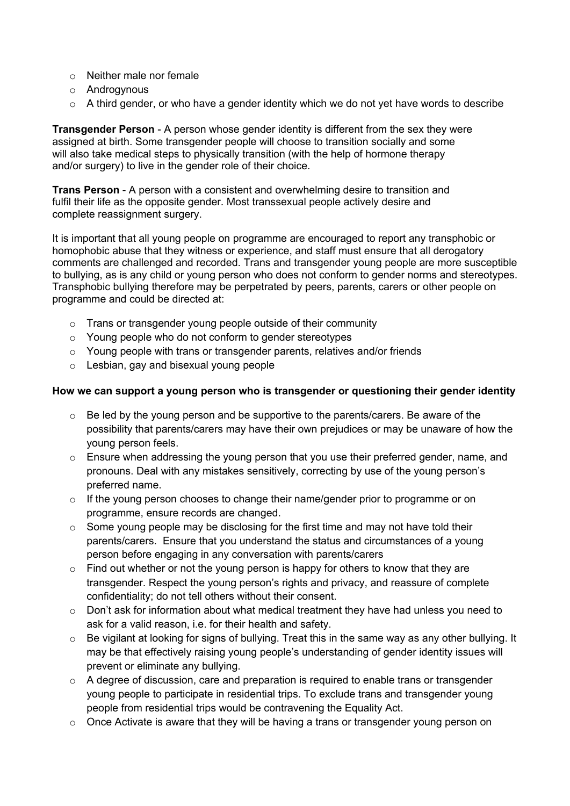- o Neither male nor female
- o Androgynous
- $\circ$  A third gender, or who have a gender identity which we do not yet have words to describe

**Transgender Person** - A person whose gender identity is different from the sex they were assigned at birth. Some transgender people will choose to transition socially and some will also take medical steps to physically transition (with the help of hormone therapy and/or surgery) to live in the gender role of their choice.

**Trans Person** - A person with a consistent and overwhelming desire to transition and fulfil their life as the opposite gender. Most transsexual people actively desire and complete reassignment surgery.

It is important that all young people on programme are encouraged to report any transphobic or homophobic abuse that they witness or experience, and staff must ensure that all derogatory comments are challenged and recorded. Trans and transgender young people are more susceptible to bullying, as is any child or young person who does not conform to gender norms and stereotypes. Transphobic bullying therefore may be perpetrated by peers, parents, carers or other people on programme and could be directed at:

- o Trans or transgender young people outside of their community
- o Young people who do not conform to gender stereotypes
- o Young people with trans or transgender parents, relatives and/or friends
- o Lesbian, gay and bisexual young people

#### **How we can support a young person who is transgender or questioning their gender identity**

- $\circ$  Be led by the young person and be supportive to the parents/carers. Be aware of the possibility that parents/carers may have their own prejudices or may be unaware of how the young person feels.
- o Ensure when addressing the young person that you use their preferred gender, name, and pronouns. Deal with any mistakes sensitively, correcting by use of the young person's preferred name.
- o If the young person chooses to change their name/gender prior to programme or on programme, ensure records are changed.
- $\circ$  Some young people may be disclosing for the first time and may not have told their parents/carers. Ensure that you understand the status and circumstances of a young person before engaging in any conversation with parents/carers
- $\circ$  Find out whether or not the young person is happy for others to know that they are transgender. Respect the young person's rights and privacy, and reassure of complete confidentiality; do not tell others without their consent.
- o Don't ask for information about what medical treatment they have had unless you need to ask for a valid reason, i.e. for their health and safety.
- $\circ$  Be vigilant at looking for signs of bullying. Treat this in the same way as any other bullying. It may be that effectively raising young people's understanding of gender identity issues will prevent or eliminate any bullying.
- o A degree of discussion, care and preparation is required to enable trans or transgender young people to participate in residential trips. To exclude trans and transgender young people from residential trips would be contravening the Equality Act.
- $\circ$  Once Activate is aware that they will be having a trans or transgender young person on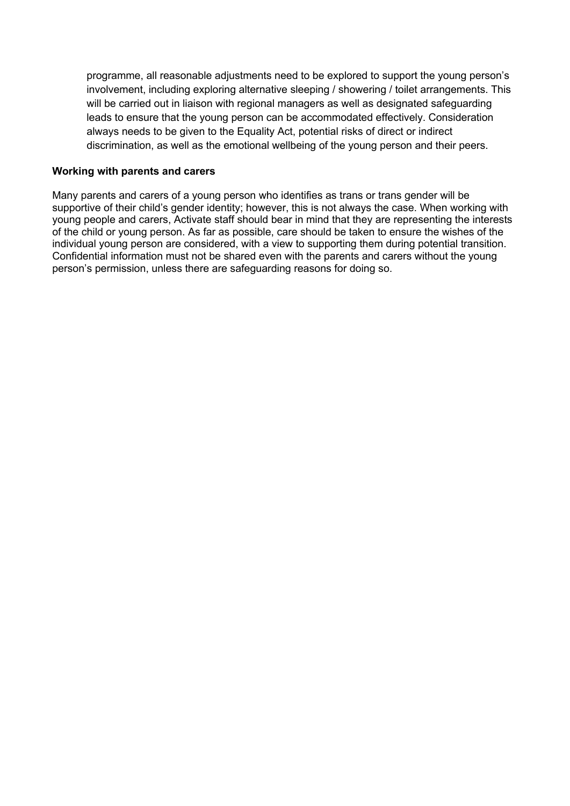programme, all reasonable adjustments need to be explored to support the young person's involvement, including exploring alternative sleeping / showering / toilet arrangements. This will be carried out in liaison with regional managers as well as designated safeguarding leads to ensure that the young person can be accommodated effectively. Consideration always needs to be given to the Equality Act, potential risks of direct or indirect discrimination, as well as the emotional wellbeing of the young person and their peers.

#### **Working with parents and carers**

Many parents and carers of a young person who identifies as trans or trans gender will be supportive of their child's gender identity; however, this is not always the case. When working with young people and carers, Activate staff should bear in mind that they are representing the interests of the child or young person. As far as possible, care should be taken to ensure the wishes of the individual young person are considered, with a view to supporting them during potential transition. Confidential information must not be shared even with the parents and carers without the young person's permission, unless there are safeguarding reasons for doing so.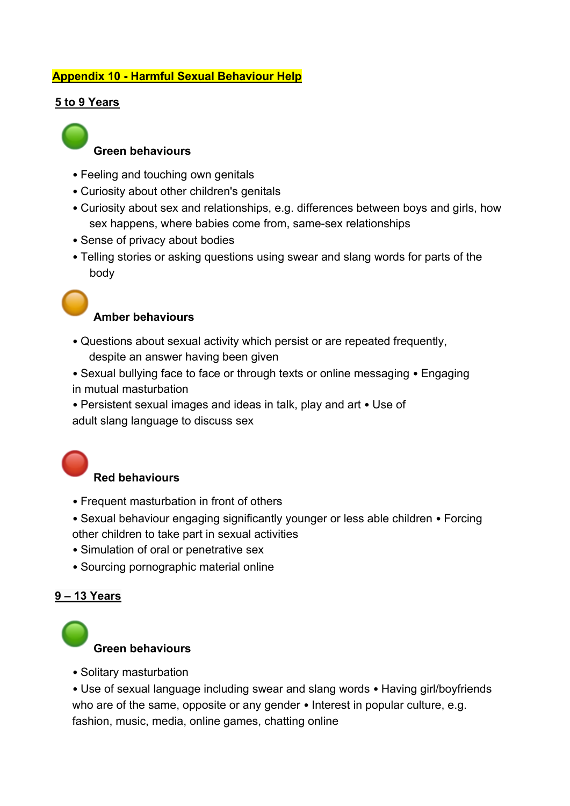# **Appendix 10 - Harmful Sexual Behaviour Help**

### **5 to 9 Years**

# **Green behaviours**

- Feeling and touching own genitals
- Curiosity about other children's genitals
- Curiosity about sex and relationships, e.g. differences between boys and girls, how sex happens, where babies come from, same-sex relationships
- Sense of privacy about bodies
- Telling stories or asking questions using swear and slang words for parts of the body

# **Amber behaviours**

- Questions about sexual activity which persist or are repeated frequently, despite an answer having been given
- Sexual bullying face to face or through texts or online messaging Engaging in mutual masturbation
- Persistent sexual images and ideas in talk, play and art Use of adult slang language to discuss sex

# **Red behaviours**

- Frequent masturbation in front of others
- Sexual behaviour engaging significantly younger or less able children Forcing other children to take part in sexual activities
- Simulation of oral or penetrative sex
- Sourcing pornographic material online

# **9 – 13 Years**

# **Green behaviours**

• Solitary masturbation

• Use of sexual language including swear and slang words • Having girl/boyfriends who are of the same, opposite or any gender • Interest in popular culture, e.g. fashion, music, media, online games, chatting online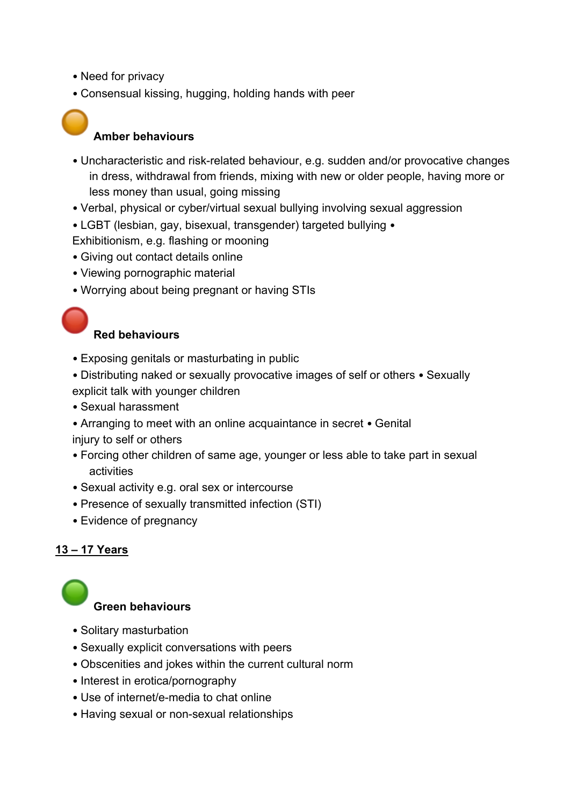- Need for privacy
- Consensual kissing, hugging, holding hands with peer



# **Amber behaviours**

- Uncharacteristic and risk-related behaviour, e.g. sudden and/or provocative changes in dress, withdrawal from friends, mixing with new or older people, having more or less money than usual, going missing
- Verbal, physical or cyber/virtual sexual bullying involving sexual aggression
- LGBT (lesbian, gay, bisexual, transgender) targeted bullying •
- Exhibitionism, e.g. flashing or mooning
- Giving out contact details online
- Viewing pornographic material
- Worrying about being pregnant or having STIs

# **Red behaviours**

- Exposing genitals or masturbating in public
- Distributing naked or sexually provocative images of self or others Sexually explicit talk with younger children
- Sexual harassment
- Arranging to meet with an online acquaintance in secret Genital
- injury to self or others
- Forcing other children of same age, younger or less able to take part in sexual activities
- Sexual activity e.g. oral sex or intercourse
- Presence of sexually transmitted infection (STI)
- Evidence of pregnancy

# **13 – 17 Years**



- Solitary masturbation
- Sexually explicit conversations with peers
- Obscenities and jokes within the current cultural norm
- Interest in erotica/pornography
- Use of internet/e-media to chat online
- Having sexual or non-sexual relationships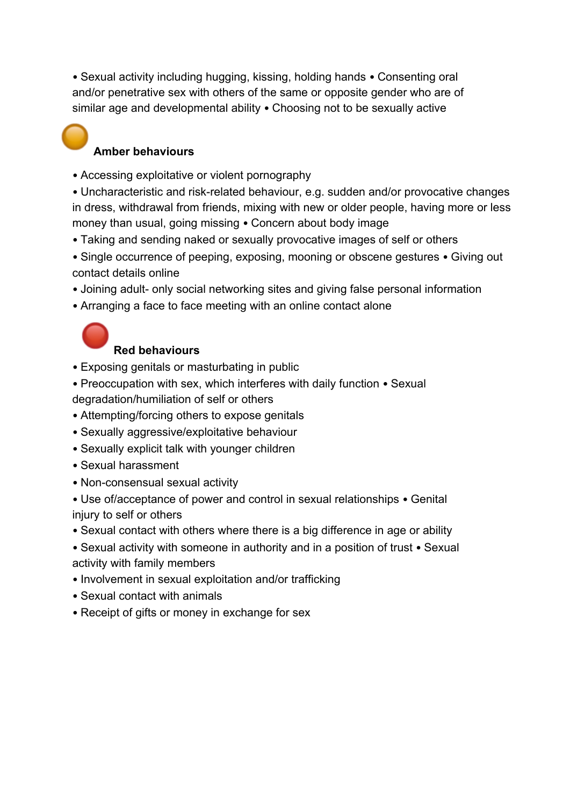• Sexual activity including hugging, kissing, holding hands • Consenting oral and/or penetrative sex with others of the same or opposite gender who are of similar age and developmental ability • Choosing not to be sexually active

# **Amber behaviours**

• Accessing exploitative or violent pornography

• Uncharacteristic and risk-related behaviour, e.g. sudden and/or provocative changes in dress, withdrawal from friends, mixing with new or older people, having more or less money than usual, going missing • Concern about body image

- Taking and sending naked or sexually provocative images of self or others
- Single occurrence of peeping, exposing, mooning or obscene gestures Giving out contact details online
- Joining adult- only social networking sites and giving false personal information
- Arranging a face to face meeting with an online contact alone



# **Red behaviours**

- Exposing genitals or masturbating in public
- Preoccupation with sex, which interferes with daily function Sexual degradation/humiliation of self or others
- Attempting/forcing others to expose genitals
- Sexually aggressive/exploitative behaviour
- Sexually explicit talk with younger children
- Sexual harassment
- Non-consensual sexual activity
- Use of/acceptance of power and control in sexual relationships Genital injury to self or others
- Sexual contact with others where there is a big difference in age or ability
- Sexual activity with someone in authority and in a position of trust Sexual activity with family members
- Involvement in sexual exploitation and/or trafficking
- Sexual contact with animals
- Receipt of gifts or money in exchange for sex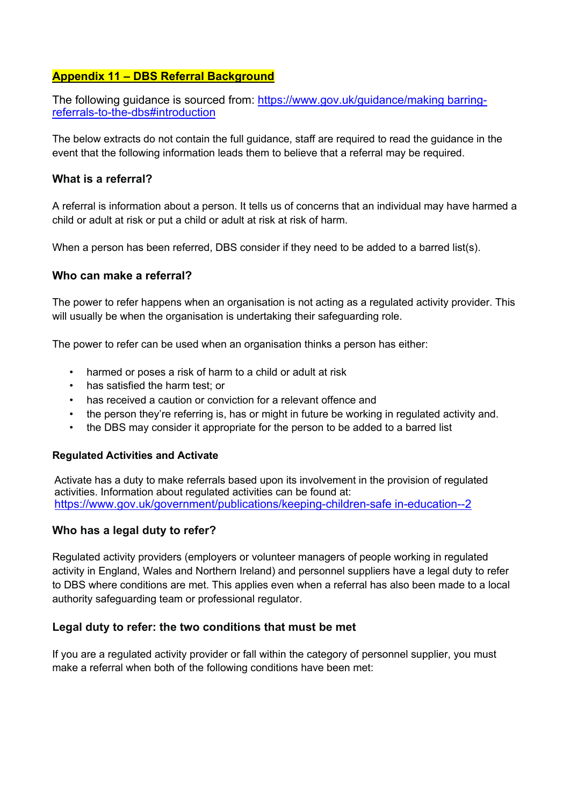### **Appendix 11 – DBS Referral Background**

The following guidance is sourced from: https://www.gov.uk/guidance/making barringreferrals-to-the-dbs#introduction

The below extracts do not contain the full guidance, staff are required to read the guidance in the event that the following information leads them to believe that a referral may be required.

### **What is a referral?**

A referral is information about a person. It tells us of concerns that an individual may have harmed a child or adult at risk or put a child or adult at risk at risk of harm.

When a person has been referred, DBS consider if they need to be added to a barred list(s).

#### **Who can make a referral?**

The power to refer happens when an organisation is not acting as a regulated activity provider. This will usually be when the organisation is undertaking their safeguarding role.

The power to refer can be used when an organisation thinks a person has either:

- harmed or poses a risk of harm to a child or adult at risk
- has satisfied the harm test; or
- has received a caution or conviction for a relevant offence and
- the person they're referring is, has or might in future be working in regulated activity and.
- the DBS may consider it appropriate for the person to be added to a barred list

#### **Regulated Activities and Activate**

Activate has a duty to make referrals based upon its involvement in the provision of regulated activities. Information about regulated activities can be found at: https://www.gov.uk/government/publications/keeping-children-safe in-education--2

### **Who has a legal duty to refer?**

Regulated activity providers (employers or volunteer managers of people working in regulated activity in England, Wales and Northern Ireland) and personnel suppliers have a legal duty to refer to DBS where conditions are met. This applies even when a referral has also been made to a local authority safeguarding team or professional regulator.

#### **Legal duty to refer: the two conditions that must be met**

If you are a regulated activity provider or fall within the category of personnel supplier, you must make a referral when both of the following conditions have been met: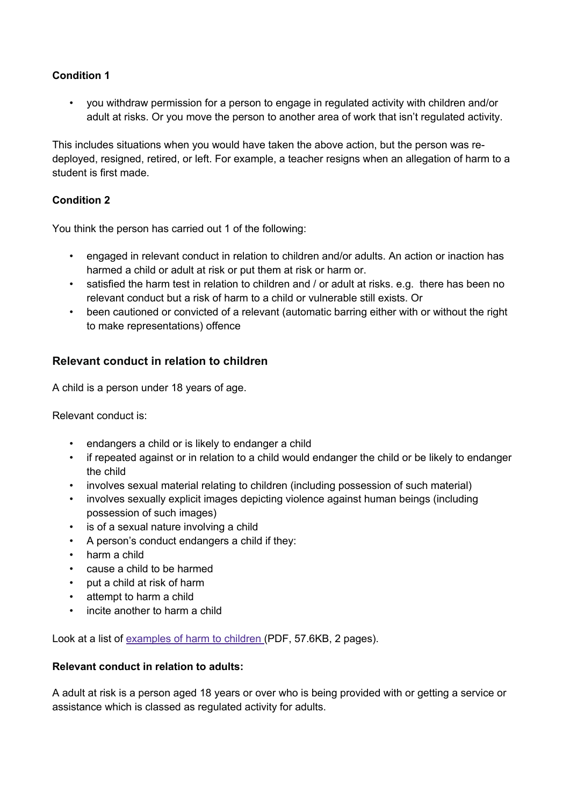### **Condition 1**

• you withdraw permission for a person to engage in regulated activity with children and/or adult at risks. Or you move the person to another area of work that isn't regulated activity.

This includes situations when you would have taken the above action, but the person was redeployed, resigned, retired, or left. For example, a teacher resigns when an allegation of harm to a student is first made.

### **Condition 2**

You think the person has carried out 1 of the following:

- engaged in relevant conduct in relation to children and/or adults. An action or inaction has harmed a child or adult at risk or put them at risk or harm or.
- satisfied the harm test in relation to children and / or adult at risks. e.g. there has been no relevant conduct but a risk of harm to a child or vulnerable still exists. Or
- been cautioned or convicted of a relevant (automatic barring either with or without the right to make representations) offence

### **Relevant conduct in relation to children**

A child is a person under 18 years of age.

Relevant conduct is:

- endangers a child or is likely to endanger a child
- if repeated against or in relation to a child would endanger the child or be likely to endanger the child
- involves sexual material relating to children (including possession of such material)
- involves sexually explicit images depicting violence against human beings (including possession of such images)
- is of a sexual nature involving a child
- A person's conduct endangers a child if they:
- harm a child
- cause a child to be harmed
- put a child at risk of harm
- attempt to harm a child
- incite another to harm a child

Look at a list of examples of harm to children (PDF, 57.6KB, 2 pages).

#### **Relevant conduct in relation to adults:**

A adult at risk is a person aged 18 years or over who is being provided with or getting a service or assistance which is classed as regulated activity for adults.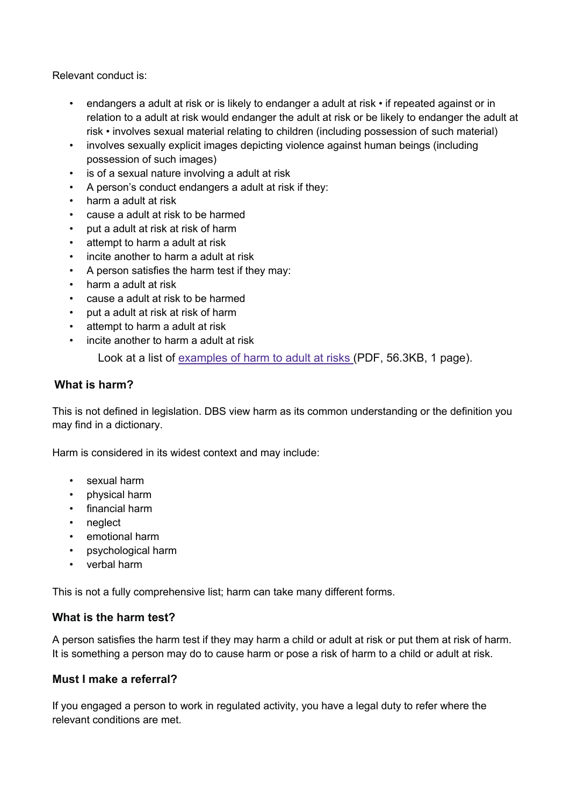Relevant conduct is:

- endangers a adult at risk or is likely to endanger a adult at risk  $\cdot$  if repeated against or in relation to a adult at risk would endanger the adult at risk or be likely to endanger the adult at risk • involves sexual material relating to children (including possession of such material)
- involves sexually explicit images depicting violence against human beings (including possession of such images)
- is of a sexual nature involving a adult at risk
- A person's conduct endangers a adult at risk if they:
- harm a adult at risk
- cause a adult at risk to be harmed
- put a adult at risk at risk of harm
- attempt to harm a adult at risk
- incite another to harm a adult at risk
- A person satisfies the harm test if they may:
- harm a adult at risk
- cause a adult at risk to be harmed
- put a adult at risk at risk of harm
- attempt to harm a adult at risk
- incite another to harm a adult at risk

Look at a list of examples of harm to adult at risks (PDF, 56.3KB, 1 page).

### **What is harm?**

This is not defined in legislation. DBS view harm as its common understanding or the definition you may find in a dictionary.

Harm is considered in its widest context and may include:

- sexual harm
- physical harm
- financial harm
- neglect
- emotional harm
- psychological harm
- verbal harm

This is not a fully comprehensive list; harm can take many different forms.

### **What is the harm test?**

A person satisfies the harm test if they may harm a child or adult at risk or put them at risk of harm. It is something a person may do to cause harm or pose a risk of harm to a child or adult at risk.

### **Must I make a referral?**

If you engaged a person to work in regulated activity, you have a legal duty to refer where the relevant conditions are met.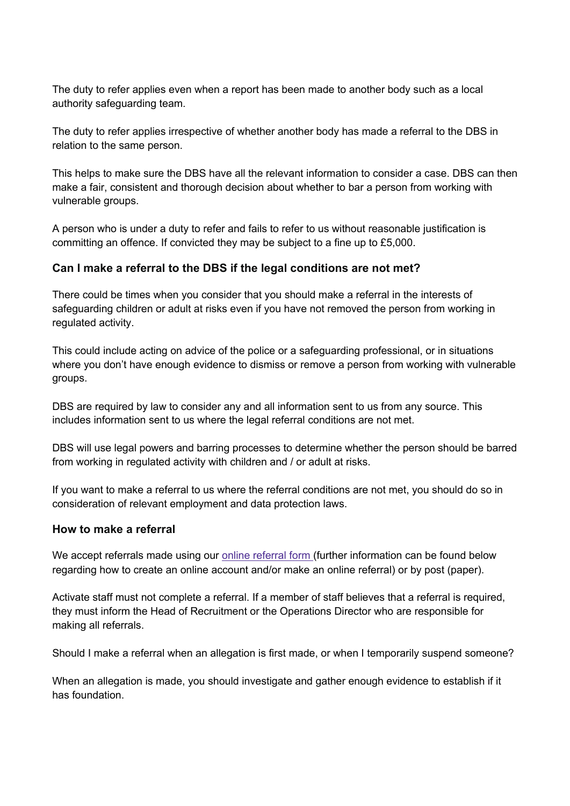The duty to refer applies even when a report has been made to another body such as a local authority safeguarding team.

The duty to refer applies irrespective of whether another body has made a referral to the DBS in relation to the same person.

This helps to make sure the DBS have all the relevant information to consider a case. DBS can then make a fair, consistent and thorough decision about whether to bar a person from working with vulnerable groups.

A person who is under a duty to refer and fails to refer to us without reasonable justification is committing an offence. If convicted they may be subject to a fine up to £5,000.

### **Can I make a referral to the DBS if the legal conditions are not met?**

There could be times when you consider that you should make a referral in the interests of safeguarding children or adult at risks even if you have not removed the person from working in regulated activity.

This could include acting on advice of the police or a safeguarding professional, or in situations where you don't have enough evidence to dismiss or remove a person from working with vulnerable groups.

DBS are required by law to consider any and all information sent to us from any source. This includes information sent to us where the legal referral conditions are not met.

DBS will use legal powers and barring processes to determine whether the person should be barred from working in regulated activity with children and / or adult at risks.

If you want to make a referral to us where the referral conditions are not met, you should do so in consideration of relevant employment and data protection laws.

### **How to make a referral**

We accept referrals made using our online referral form (further information can be found below regarding how to create an online account and/or make an online referral) or by post (paper).

Activate staff must not complete a referral. If a member of staff believes that a referral is required, they must inform the Head of Recruitment or the Operations Director who are responsible for making all referrals.

Should I make a referral when an allegation is first made, or when I temporarily suspend someone?

When an allegation is made, you should investigate and gather enough evidence to establish if it has foundation.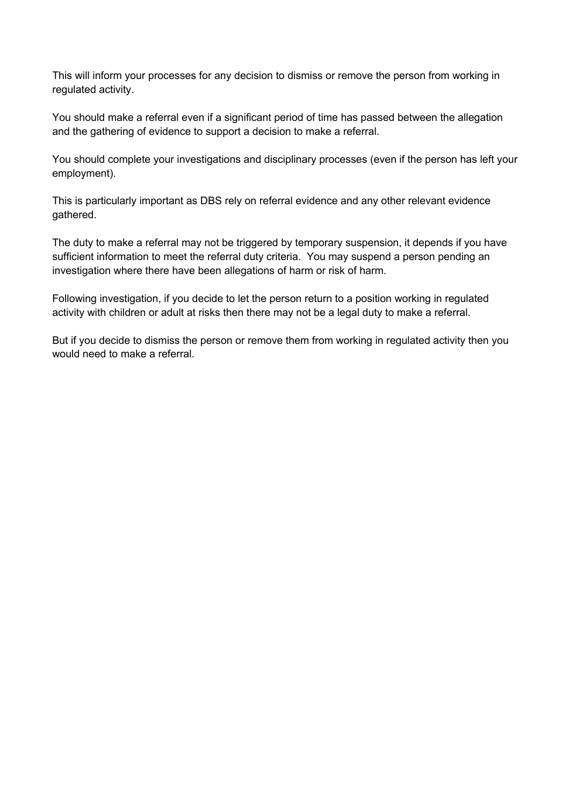This will inform your processes for any decision to dismiss or remove the person from working in regulated activity.

You should make a referral even if a significant period of time has passed between the allegation and the gathering of evidence to support a decision to make a referral.

You should complete your investigations and disciplinary processes (even if the person has left your employment).

This is particularly important as DBS rely on referral evidence and any other relevant evidence gathered.

The duty to make a referral may not be triggered by temporary suspension, it depends if you have sufficient information to meet the referral duty criteria. You may suspend a person pending an investigation where there have been allegations of harm or risk of harm.

Following investigation, if you decide to let the person return to a position working in regulated activity with children or adult at risks then there may not be a legal duty to make a referral.

But if you decide to dismiss the person or remove them from working in regulated activity then you would need to make a referral.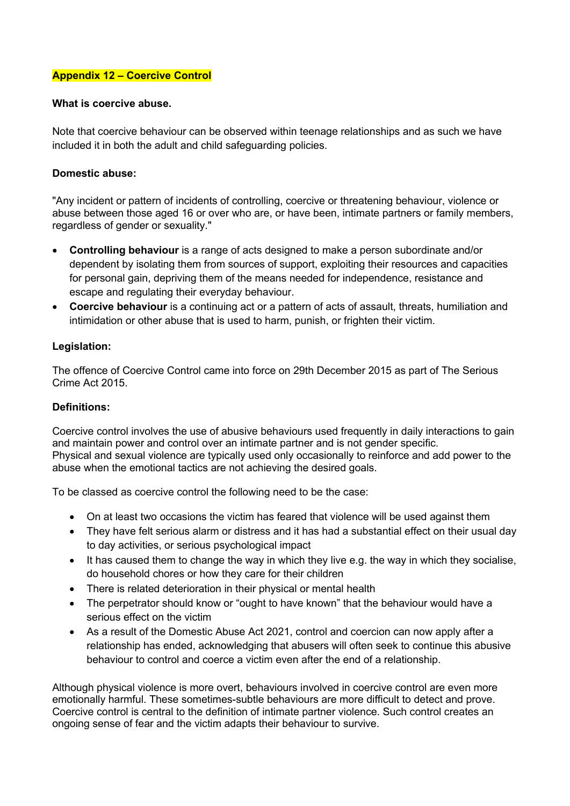#### **Appendix 12 – Coercive Control**

#### **What is coercive abuse.**

Note that coercive behaviour can be observed within teenage relationships and as such we have included it in both the adult and child safeguarding policies.

#### **Domestic abuse:**

"Any incident or pattern of incidents of controlling, coercive or threatening behaviour, violence or abuse between those aged 16 or over who are, or have been, intimate partners or family members, regardless of gender or sexuality."

- **Controlling behaviour** is a range of acts designed to make a person subordinate and/or dependent by isolating them from sources of support, exploiting their resources and capacities for personal gain, depriving them of the means needed for independence, resistance and escape and regulating their everyday behaviour.
- **Coercive behaviour** is a continuing act or a pattern of acts of assault, threats, humiliation and intimidation or other abuse that is used to harm, punish, or frighten their victim.

#### **Legislation:**

The offence of Coercive Control came into force on 29th December 2015 as part of The Serious Crime Act 2015.

#### **Definitions:**

Coercive control involves the use of abusive behaviours used frequently in daily interactions to gain and maintain power and control over an intimate partner and is not gender specific. Physical and sexual violence are typically used only occasionally to reinforce and add power to the abuse when the emotional tactics are not achieving the desired goals.

To be classed as coercive control the following need to be the case:

- On at least two occasions the victim has feared that violence will be used against them
- They have felt serious alarm or distress and it has had a substantial effect on their usual day to day activities, or serious psychological impact
- It has caused them to change the way in which they live e.g. the way in which they socialise, do household chores or how they care for their children
- There is related deterioration in their physical or mental health
- The perpetrator should know or "ought to have known" that the behaviour would have a serious effect on the victim
- As a result of the Domestic Abuse Act 2021, control and coercion can now apply after a relationship has ended, acknowledging that abusers will often seek to continue this abusive behaviour to control and coerce a victim even after the end of a relationship.

Although physical violence is more overt, behaviours involved in coercive control are even more emotionally harmful. These sometimes-subtle behaviours are more difficult to detect and prove. Coercive control is central to the definition of intimate partner violence. Such control creates an ongoing sense of fear and the victim adapts their behaviour to survive.